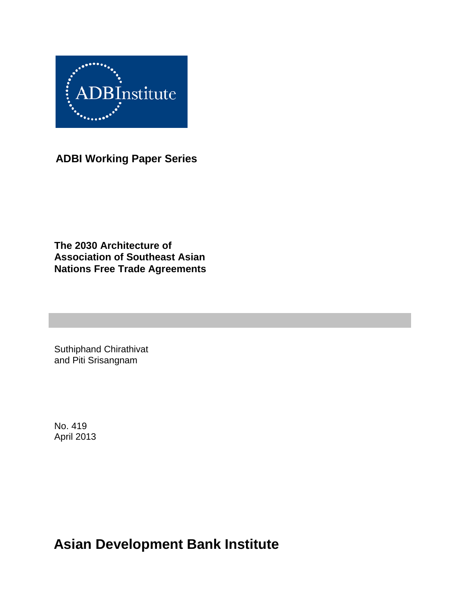

**ADBI Working Paper Series**

**The 2030 Architecture of Association of Southeast Asian Nations Free Trade Agreements**

Suthiphand Chirathivat and Piti Srisangnam

No. 419 April 2013

**Asian Development Bank Institute**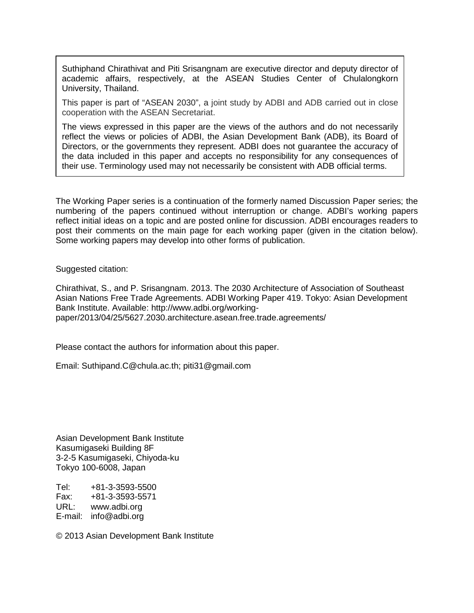Suthiphand Chirathivat and Piti Srisangnam are executive director and deputy director of academic affairs, respectively, at the ASEAN Studies Center of Chulalongkorn University, Thailand.

This paper is part of "ASEAN 2030", a joint study by ADBI and ADB carried out in close cooperation with the ASEAN Secretariat.

The views expressed in this paper are the views of the authors and do not necessarily reflect the views or policies of ADBI, the Asian Development Bank (ADB), its Board of Directors, or the governments they represent. ADBI does not guarantee the accuracy of the data included in this paper and accepts no responsibility for any consequences of their use. Terminology used may not necessarily be consistent with ADB official terms.

The Working Paper series is a continuation of the formerly named Discussion Paper series; the numbering of the papers continued without interruption or change. ADBI's working papers reflect initial ideas on a topic and are posted online for discussion. ADBI encourages readers to post their comments on the main page for each working paper (given in the citation below). Some working papers may develop into other forms of publication.

Suggested citation:

Chirathivat, S., and P. Srisangnam. 2013. The 2030 Architecture of Association of Southeast Asian Nations Free Trade Agreements. ADBI Working Paper 419. Tokyo: Asian Development Bank Institute. Available: http://www.adbi.org/workingpaper/2013/04/25/5627.2030.architecture.asean.free.trade.agreements/

Please contact the authors for information about this paper.

Email: [Suthipand.C@chula.ac.th;](mailto:Suthipand.C@chula.ac.th) piti31@gmail.com

Asian Development Bank Institute Kasumigaseki Building 8F 3-2-5 Kasumigaseki, Chiyoda-ku Tokyo 100-6008, Japan

Tel: +81-3-3593-5500 Fax: +81-3-3593-5571 URL: www.adbi.org E-mail: info@adbi.org

© 2013 Asian Development Bank Institute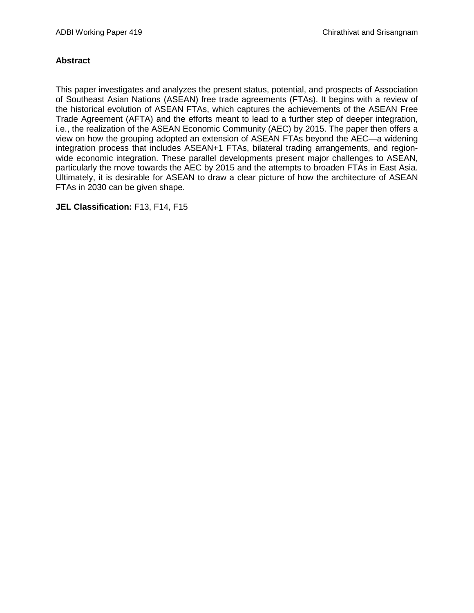#### **Abstract**

This paper investigates and analyzes the present status, potential, and prospects of Association of Southeast Asian Nations (ASEAN) free trade agreements (FTAs). It begins with a review of the historical evolution of ASEAN FTAs, which captures the achievements of the ASEAN Free Trade Agreement (AFTA) and the efforts meant to lead to a further step of deeper integration, i.e., the realization of the ASEAN Economic Community (AEC) by 2015. The paper then offers a view on how the grouping adopted an extension of ASEAN FTAs beyond the AEC—a widening integration process that includes ASEAN+1 FTAs, bilateral trading arrangements, and regionwide economic integration. These parallel developments present major challenges to ASEAN, particularly the move towards the AEC by 2015 and the attempts to broaden FTAs in East Asia. Ultimately, it is desirable for ASEAN to draw a clear picture of how the architecture of ASEAN FTAs in 2030 can be given shape.

**JEL Classification:** F13, F14, F15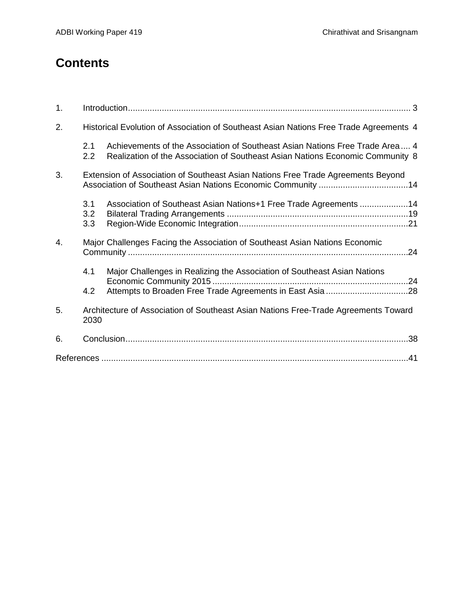# **Contents**

| 1. |                   |                                                                                                                                                                |  |  |  |  |
|----|-------------------|----------------------------------------------------------------------------------------------------------------------------------------------------------------|--|--|--|--|
| 2. |                   | Historical Evolution of Association of Southeast Asian Nations Free Trade Agreements 4                                                                         |  |  |  |  |
|    | 2.1<br>2.2        | Achievements of the Association of Southeast Asian Nations Free Trade Area 4<br>Realization of the Association of Southeast Asian Nations Economic Community 8 |  |  |  |  |
| 3. |                   | Extension of Association of Southeast Asian Nations Free Trade Agreements Beyond<br>Association of Southeast Asian Nations Economic Community 14               |  |  |  |  |
|    | 3.1<br>3.2<br>3.3 | Association of Southeast Asian Nations+1 Free Trade Agreements 14                                                                                              |  |  |  |  |
| 4. |                   | Major Challenges Facing the Association of Southeast Asian Nations Economic                                                                                    |  |  |  |  |
|    | 4.1               | Major Challenges in Realizing the Association of Southeast Asian Nations                                                                                       |  |  |  |  |
|    | 4.2               |                                                                                                                                                                |  |  |  |  |
| 5. | 2030              | Architecture of Association of Southeast Asian Nations Free-Trade Agreements Toward                                                                            |  |  |  |  |
| 6. |                   |                                                                                                                                                                |  |  |  |  |
|    |                   |                                                                                                                                                                |  |  |  |  |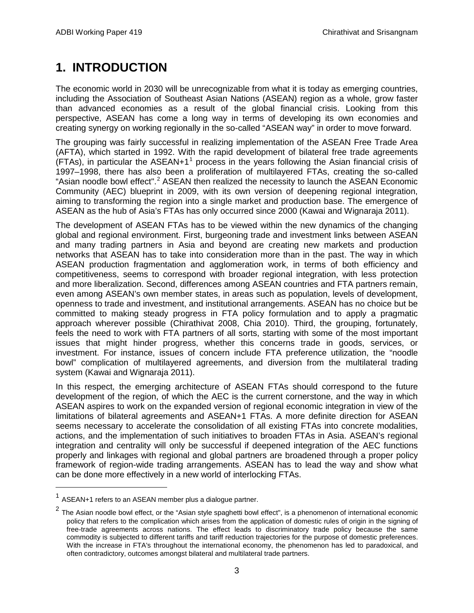## <span id="page-4-0"></span>**1. INTRODUCTION**

The economic world in 2030 will be unrecognizable from what it is today as emerging countries, including the Association of Southeast Asian Nations (ASEAN) region as a whole, grow faster than advanced economies as a result of the global financial crisis. Looking from this perspective, ASEAN has come a long way in terms of developing its own economies and creating synergy on working regionally in the so-called "ASEAN way" in order to move forward.

The grouping was fairly successful in realizing implementation of the ASEAN Free Trade Area (AFTA), which started in 1992. With the rapid development of bilateral free trade agreements (FTAs), in particular the ASEAN+[1](#page-4-1)<sup>1</sup> process in the years following the Asian financial crisis of 1997–1998, there has also been a proliferation of multilayered FTAs, creating the so-called "Asian noodle bowl effect".<sup>[2](#page-4-2)</sup> ASEAN then realized the necessity to launch the ASEAN Economic Community (AEC) blueprint in 2009, with its own version of deepening regional integration, aiming to transforming the region into a single market and production base. The emergence of ASEAN as the hub of Asia's FTAs has only occurred since 2000 (Kawai and Wignaraja 2011).

The development of ASEAN FTAs has to be viewed within the new dynamics of the changing global and regional environment. First, burgeoning trade and investment links between ASEAN and many trading partners in Asia and beyond are creating new markets and production networks that ASEAN has to take into consideration more than in the past. The way in which ASEAN production fragmentation and agglomeration work, in terms of both efficiency and competitiveness, seems to correspond with broader regional integration, with less protection and more liberalization. Second, differences among ASEAN countries and FTA partners remain, even among ASEAN's own member states, in areas such as population, levels of development, openness to trade and investment, and institutional arrangements. ASEAN has no choice but be committed to making steady progress in FTA policy formulation and to apply a pragmatic approach wherever possible (Chirathivat 2008, Chia 2010). Third, the grouping, fortunately, feels the need to work with FTA partners of all sorts, starting with some of the most important issues that might hinder progress, whether this concerns trade in goods, services, or investment. For instance, issues of concern include FTA preference utilization, the "noodle bowl" complication of multilayered agreements, and diversion from the multilateral trading system (Kawai and Wignaraja 2011).

In this respect, the emerging architecture of ASEAN FTAs should correspond to the future development of the region, of which the AEC is the current cornerstone, and the way in which ASEAN aspires to work on the expanded version of regional economic integration in view of the limitations of bilateral agreements and ASEAN+1 FTAs. A more definite direction for ASEAN seems necessary to accelerate the consolidation of all existing FTAs into concrete modalities, actions, and the implementation of such initiatives to broaden FTAs in Asia. ASEAN's regional integration and centrality will only be successful if deepened integration of the AEC functions properly and linkages with regional and global partners are broadened through a proper policy framework of region-wide trading arrangements. ASEAN has to lead the way and show what can be done more effectively in a new world of interlocking FTAs.

<span id="page-4-1"></span> $1$  ASEAN+1 refers to an ASEAN member plus a dialogue partner.

<span id="page-4-2"></span> $2$  The Asian noodle bowl effect, or the "Asian style spaghetti bowl effect", is a phenomenon of international economic policy that refers to the complication which arises from the application of domestic rules of origin in the signing of free-trade agreements across nations. The effect leads to discriminatory trade policy because the same commodity is subjected to different tariffs and tariff reduction trajectories for the purpose of domestic preferences. With the increase in FTA's throughout the international economy, the phenomenon has led to paradoxical, and often contradictory, outcomes amongst bilateral and multilateral trade partners.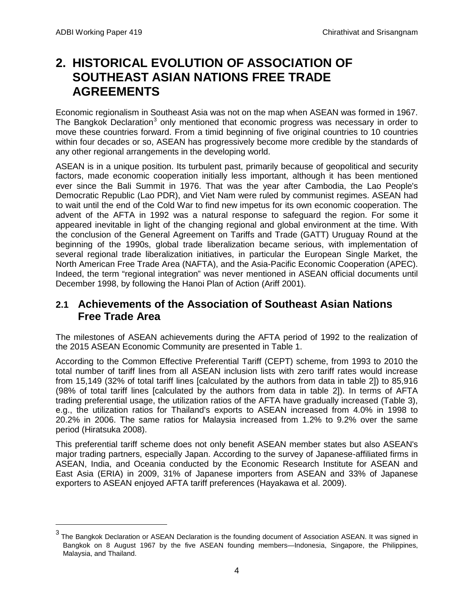$\overline{a}$ 

## <span id="page-5-0"></span>**2. HISTORICAL EVOLUTION OF ASSOCIATION OF SOUTHEAST ASIAN NATIONS FREE TRADE AGREEMENTS**

Economic regionalism in Southeast Asia was not on the map when ASEAN was formed in 1967. The Bangkok Declaration<sup>[3](#page-5-2)</sup> only mentioned that economic progress was necessary in order to move these countries forward. From a timid beginning of five original countries to 10 countries within four decades or so, ASEAN has progressively become more credible by the standards of any other regional arrangements in the developing world.

ASEAN is in a unique position. Its turbulent past, primarily because of geopolitical and security factors, made economic cooperation initially less important, although it has been mentioned ever since the Bali Summit in 1976. That was the year after Cambodia, the Lao People's Democratic Republic (Lao PDR), and Viet Nam were ruled by communist regimes. ASEAN had to wait until the end of the Cold War to find new impetus for its own economic cooperation. The advent of the AFTA in 1992 was a natural response to safeguard the region. For some it appeared inevitable in light of the changing regional and global environment at the time. With the conclusion of the General Agreement on Tariffs and Trade (GATT) Uruguay Round at the beginning of the 1990s, global trade liberalization became serious, with implementation of several regional trade liberalization initiatives, in particular the European Single Market, the North American Free Trade Area (NAFTA), and the Asia-Pacific Economic Cooperation (APEC). Indeed, the term "regional integration" was never mentioned in ASEAN official documents until December 1998, by following the Hanoi Plan of Action (Ariff 2001).

## <span id="page-5-1"></span>**2.1 Achievements of the Association of Southeast Asian Nations Free Trade Area**

The milestones of ASEAN achievements during the AFTA period of 1992 to the realization of the 2015 ASEAN Economic Community are presented in Table 1.

According to the Common Effective Preferential Tariff (CEPT) scheme, from 1993 to 2010 the total number of tariff lines from all ASEAN inclusion lists with zero tariff rates would increase from 15,149 (32% of total tariff lines [calculated by the authors from data in table 2]) to 85,916 (98% of total tariff lines [calculated by the authors from data in table 2]). In terms of AFTA trading preferential usage, the utilization ratios of the AFTA have gradually increased (Table 3), e.g., the utilization ratios for Thailand's exports to ASEAN increased from 4.0% in 1998 to 20.2% in 2006. The same ratios for Malaysia increased from 1.2% to 9.2% over the same period (Hiratsuka 2008).

This preferential tariff scheme does not only benefit ASEAN member states but also ASEAN's major trading partners, especially Japan. According to the survey of Japanese-affiliated firms in ASEAN, India, and Oceania conducted by the Economic Research Institute for ASEAN and East Asia (ERIA) in 2009, 31% of Japanese importers from ASEAN and 33% of Japanese exporters to ASEAN enjoyed AFTA tariff preferences (Hayakawa et al. 2009).

<span id="page-5-2"></span><sup>3</sup> The Bangkok Declaration or ASEAN Declaration is the founding document of Association ASEAN. It was signed in Bangkok on 8 August 1967 by the five ASEAN founding members—Indonesia, Singapore, the Philippines, Malaysia, and Thailand.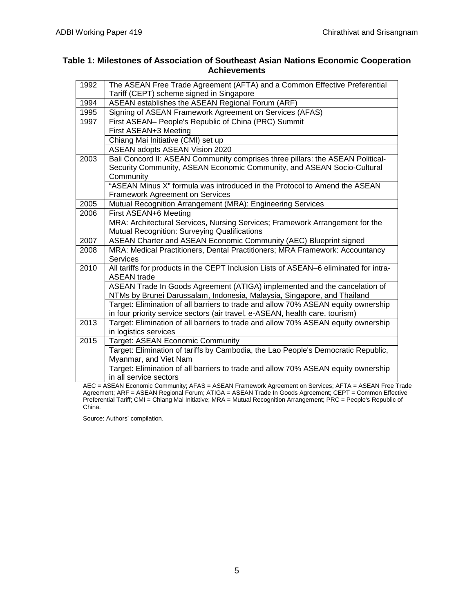#### **Table 1: Milestones of Association of Southeast Asian Nations Economic Cooperation Achievements**

| 1992 | The ASEAN Free Trade Agreement (AFTA) and a Common Effective Preferential                                   |
|------|-------------------------------------------------------------------------------------------------------------|
|      | Tariff (CEPT) scheme signed in Singapore                                                                    |
| 1994 | ASEAN establishes the ASEAN Regional Forum (ARF)                                                            |
| 1995 | Signing of ASEAN Framework Agreement on Services (AFAS)                                                     |
| 1997 | First ASEAN- People's Republic of China (PRC) Summit                                                        |
|      | First ASEAN+3 Meeting                                                                                       |
|      | Chiang Mai Initiative (CMI) set up                                                                          |
|      | ASEAN adopts ASEAN Vision 2020                                                                              |
| 2003 | Bali Concord II: ASEAN Community comprises three pillars: the ASEAN Political-                              |
|      | Security Community, ASEAN Economic Community, and ASEAN Socio-Cultural                                      |
|      | Community                                                                                                   |
|      | "ASEAN Minus X" formula was introduced in the Protocol to Amend the ASEAN                                   |
|      | <b>Framework Agreement on Services</b>                                                                      |
| 2005 | Mutual Recognition Arrangement (MRA): Engineering Services                                                  |
| 2006 | First ASEAN+6 Meeting                                                                                       |
|      | MRA: Architectural Services, Nursing Services; Framework Arrangement for the                                |
|      | Mutual Recognition: Surveying Qualifications                                                                |
| 2007 | ASEAN Charter and ASEAN Economic Community (AEC) Blueprint signed                                           |
| 2008 | MRA: Medical Practitioners, Dental Practitioners; MRA Framework: Accountancy                                |
|      | Services                                                                                                    |
| 2010 | All tariffs for products in the CEPT Inclusion Lists of ASEAN-6 eliminated for intra-                       |
|      | <b>ASEAN</b> trade                                                                                          |
|      | ASEAN Trade In Goods Agreement (ATIGA) implemented and the cancelation of                                   |
|      | NTMs by Brunei Darussalam, Indonesia, Malaysia, Singapore, and Thailand                                     |
|      | Target: Elimination of all barriers to trade and allow 70% ASEAN equity ownership                           |
|      | in four priority service sectors (air travel, e-ASEAN, health care, tourism)                                |
| 2013 | Target: Elimination of all barriers to trade and allow 70% ASEAN equity ownership                           |
|      | in logistics services                                                                                       |
| 2015 | Target: ASEAN Economic Community                                                                            |
|      | Target: Elimination of tariffs by Cambodia, the Lao People's Democratic Republic,                           |
|      | Myanmar, and Viet Nam                                                                                       |
|      |                                                                                                             |
|      | Target: Elimination of all barriers to trade and allow 70% ASEAN equity ownership<br>in all service sectors |

AEC = ASEAN Economic Community; AFAS = ASEAN Framework Agreement on Services; AFTA = ASEAN Free Trade Agreement; ARF = ASEAN Regional Forum; ATIGA = ASEAN Trade In Goods Agreement; CEPT = Common Effective Preferential Tariff; CMI = Chiang Mai Initiative; MRA = Mutual Recognition Arrangement; PRC = People's Republic of China.

Source: Authors' compilation.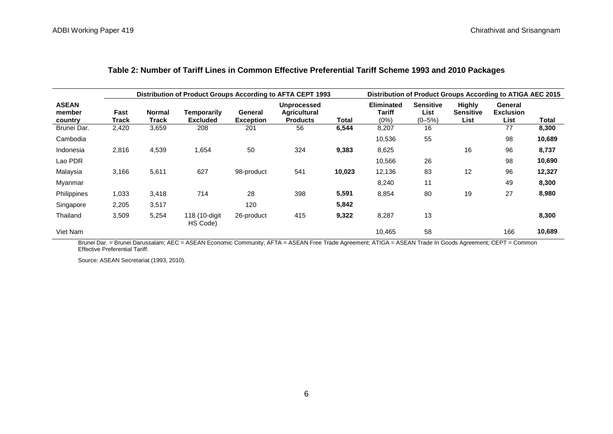|                                   | <b>Distribution of Product Groups According to AFTA CEPT 1993</b> |                        |                                |                             |                                                              | <b>Distribution of Product Groups According to ATIGA AEC 2015</b> |                                     |                                         |                                           |                                     |        |
|-----------------------------------|-------------------------------------------------------------------|------------------------|--------------------------------|-----------------------------|--------------------------------------------------------------|-------------------------------------------------------------------|-------------------------------------|-----------------------------------------|-------------------------------------------|-------------------------------------|--------|
| <b>ASEAN</b><br>member<br>country | Fast<br>Track                                                     | <b>Normal</b><br>Track | Temporarily<br><b>Excluded</b> | General<br><b>Exception</b> | <b>Unprocessed</b><br><b>Agricultural</b><br><b>Products</b> | Total                                                             | <b>Eliminated</b><br>Tariff<br>(0%) | <b>Sensitive</b><br>List<br>$(0 - 5\%)$ | <b>Highly</b><br><b>Sensitive</b><br>List | General<br><b>Exclusion</b><br>List | Total  |
| Brunei Dar.                       | 2,420                                                             | 3,659                  | 208                            | 201                         | 56                                                           | 6,544                                                             | 8,207                               | 16                                      |                                           | 77                                  | 8,300  |
| Cambodia                          |                                                                   |                        |                                |                             |                                                              |                                                                   | 10,536                              | 55                                      |                                           | 98                                  | 10,689 |
| Indonesia                         | 2,816                                                             | 4,539                  | 1,654                          | 50                          | 324                                                          | 9,383                                                             | 8,625                               |                                         | 16                                        | 96                                  | 8,737  |
| Lao PDR                           |                                                                   |                        |                                |                             |                                                              |                                                                   | 10,566                              | 26                                      |                                           | 98                                  | 10,690 |
| Malaysia                          | 3,166                                                             | 5,611                  | 627                            | 98-product                  | 541                                                          | 10,023                                                            | 12,136                              | 83                                      | 12                                        | 96                                  | 12,327 |
| Myanmar                           |                                                                   |                        |                                |                             |                                                              |                                                                   | 8,240                               | 11                                      |                                           | 49                                  | 8,300  |
| Philippines                       | 1,033                                                             | 3,418                  | 714                            | 28                          | 398                                                          | 5,591                                                             | 8,854                               | 80                                      | 19                                        | 27                                  | 8,980  |
| Singapore                         | 2,205                                                             | 3,517                  |                                | 120                         |                                                              | 5,842                                                             |                                     |                                         |                                           |                                     |        |
| Thailand                          | 3,509                                                             | 5,254                  | 118 (10-digit<br>HS Code)      | 26-product                  | 415                                                          | 9,322                                                             | 8,287                               | 13                                      |                                           |                                     | 8,300  |
| Viet Nam                          |                                                                   |                        |                                |                             |                                                              |                                                                   | 10,465                              | 58                                      |                                           | 166                                 | 10,689 |

#### **Table 2: Number of Tariff Lines in Common Effective Preferential Tariff Scheme 1993 and 2010 Packages**

Brunei Dar. = Brunei Darussalam; AEC = ASEAN Economic Community; AFTA = ASEAN Free Trade Agreement; ATIGA = ASEAN Trade In Goods Agreement; CEPT = Common Effective Preferential Tariff.

Source: ASEAN Secretariat (1993, 2010).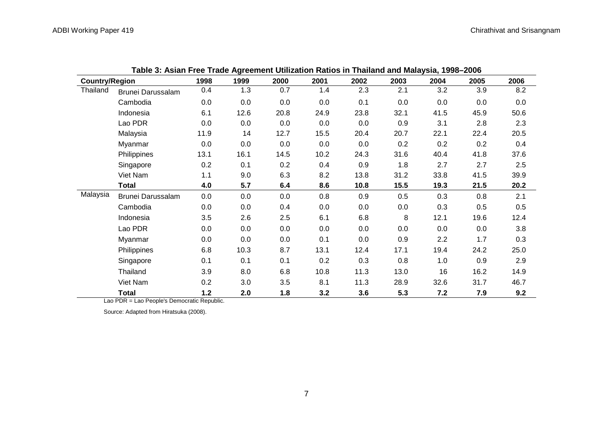| <b>Country/Region</b> |                   | 1998  | 1999 | 2000    | 2001 | 2002 | 2003 | 2004 | 2005 | 2006 |
|-----------------------|-------------------|-------|------|---------|------|------|------|------|------|------|
| Thailand              | Brunei Darussalam | 0.4   | 1.3  | 0.7     | 1.4  | 2.3  | 2.1  | 3.2  | 3.9  | 8.2  |
|                       | Cambodia          | 0.0   | 0.0  | 0.0     | 0.0  | 0.1  | 0.0  | 0.0  | 0.0  | 0.0  |
|                       | Indonesia         | 6.1   | 12.6 | 20.8    | 24.9 | 23.8 | 32.1 | 41.5 | 45.9 | 50.6 |
|                       | Lao PDR           | 0.0   | 0.0  | 0.0     | 0.0  | 0.0  | 0.9  | 3.1  | 2.8  | 2.3  |
|                       | Malaysia          | 11.9  | 14   | 12.7    | 15.5 | 20.4 | 20.7 | 22.1 | 22.4 | 20.5 |
|                       | Myanmar           | 0.0   | 0.0  | $0.0\,$ | 0.0  | 0.0  | 0.2  | 0.2  | 0.2  | 0.4  |
|                       | Philippines       | 13.1  | 16.1 | 14.5    | 10.2 | 24.3 | 31.6 | 40.4 | 41.8 | 37.6 |
|                       | Singapore         | 0.2   | 0.1  | 0.2     | 0.4  | 0.9  | 1.8  | 2.7  | 2.7  | 2.5  |
|                       | Viet Nam          | 1.1   | 9.0  | 6.3     | 8.2  | 13.8 | 31.2 | 33.8 | 41.5 | 39.9 |
|                       | <b>Total</b>      | 4.0   | 5.7  | 6.4     | 8.6  | 10.8 | 15.5 | 19.3 | 21.5 | 20.2 |
| Malaysia              | Brunei Darussalam | 0.0   | 0.0  | 0.0     | 0.8  | 0.9  | 0.5  | 0.3  | 0.8  | 2.1  |
|                       | Cambodia          | 0.0   | 0.0  | 0.4     | 0.0  | 0.0  | 0.0  | 0.3  | 0.5  | 0.5  |
|                       | Indonesia         | 3.5   | 2.6  | 2.5     | 6.1  | 6.8  | 8    | 12.1 | 19.6 | 12.4 |
|                       | Lao PDR           | 0.0   | 0.0  | 0.0     | 0.0  | 0.0  | 0.0  | 0.0  | 0.0  | 3.8  |
|                       | Myanmar           | 0.0   | 0.0  | 0.0     | 0.1  | 0.0  | 0.9  | 2.2  | 1.7  | 0.3  |
|                       | Philippines       | 6.8   | 10.3 | 8.7     | 13.1 | 12.4 | 17.1 | 19.4 | 24.2 | 25.0 |
|                       | Singapore         | 0.1   | 0.1  | 0.1     | 0.2  | 0.3  | 0.8  | 1.0  | 0.9  | 2.9  |
|                       | Thailand          | 3.9   | 8.0  | 6.8     | 10.8 | 11.3 | 13.0 | 16   | 16.2 | 14.9 |
|                       | Viet Nam          | 0.2   | 3.0  | 3.5     | 8.1  | 11.3 | 28.9 | 32.6 | 31.7 | 46.7 |
|                       | <b>Total</b>      | $1.2$ | 2.0  | 1.8     | 3.2  | 3.6  | 5.3  | 7.2  | 7.9  | 9.2  |

| Table 3: Asian Free Trade Agreement Utilization Ratios in Thailand and Malaysia, 1998–2006 |  |
|--------------------------------------------------------------------------------------------|--|
|--------------------------------------------------------------------------------------------|--|

Lao PDR = Lao People's Democratic Republic.

Source: Adapted from Hiratsuka (2008).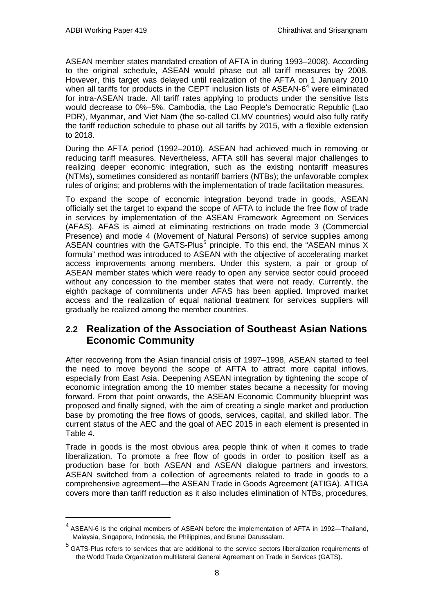ASEAN member states mandated creation of AFTA in during 1993–2008). According to the original schedule, ASEAN would phase out all tariff measures by 2008. However, this target was delayed until realization of the AFTA on 1 January 2010 when all tariffs for products in the CEPT inclusion lists of ASEAN- $6<sup>4</sup>$  $6<sup>4</sup>$  $6<sup>4</sup>$  were eliminated for intra-ASEAN trade. All tariff rates applying to products under the sensitive lists would decrease to 0%–5%. Cambodia, the Lao People's Democratic Republic (Lao PDR), Myanmar, and Viet Nam (the so-called CLMV countries) would also fully ratify the tariff reduction schedule to phase out all tariffs by 2015, with a flexible extension to 2018.

During the AFTA period (1992–2010), ASEAN had achieved much in removing or reducing tariff measures. Nevertheless, AFTA still has several major challenges to realizing deeper economic integration, such as the existing nontariff measures (NTMs), sometimes considered as nontariff barriers (NTBs); the unfavorable complex rules of origins; and problems with the implementation of trade facilitation measures.

To expand the scope of economic integration beyond trade in goods, ASEAN officially set the target to expand the scope of AFTA to include the free flow of trade in services by implementation of the ASEAN Framework Agreement on Services (AFAS). AFAS is aimed at eliminating restrictions on trade mode 3 (Commercial Presence) and mode 4 (Movement of Natural Persons) of service supplies among ASEAN countries with the GATS-Plus<sup>[5](#page-9-2)</sup> principle. To this end, the "ASEAN minus X formula" method was introduced to ASEAN with the objective of accelerating market access improvements among members. Under this system, a pair or group of ASEAN member states which were ready to open any service sector could proceed without any concession to the member states that were not ready. Currently, the eighth package of commitments under AFAS has been applied. Improved market access and the realization of equal national treatment for services suppliers will gradually be realized among the member countries.

### <span id="page-9-0"></span>**2.2 Realization of the Association of Southeast Asian Nations Economic Community**

After recovering from the Asian financial crisis of 1997–1998, ASEAN started to feel the need to move beyond the scope of AFTA to attract more capital inflows, especially from East Asia. Deepening ASEAN integration by tightening the scope of economic integration among the 10 member states became a necessity for moving forward. From that point onwards, the ASEAN Economic Community blueprint was proposed and finally signed, with the aim of creating a single market and production base by promoting the free flows of goods, services, capital, and skilled labor. The current status of the AEC and the goal of AEC 2015 in each element is presented in Table 4.

Trade in goods is the most obvious area people think of when it comes to trade liberalization. To promote a free flow of goods in order to position itself as a production base for both ASEAN and ASEAN dialogue partners and investors, ASEAN switched from a collection of agreements related to trade in goods to a comprehensive agreement—the ASEAN Trade in Goods Agreement (ATIGA). ATIGA covers more than tariff reduction as it also includes elimination of NTBs, procedures,

<span id="page-9-1"></span> <sup>4</sup> ASEAN-6 is the original members of ASEAN before the implementation of AFTA in 1992—Thailand, Malaysia, Singapore, Indonesia, the Philippines, and Brunei Darussalam.

<span id="page-9-2"></span> $<sup>5</sup>$  GATS-Plus refers to services that are additional to the service sectors liberalization requirements of</sup> the World Trade Organization multilateral General Agreement on Trade in Services (GATS).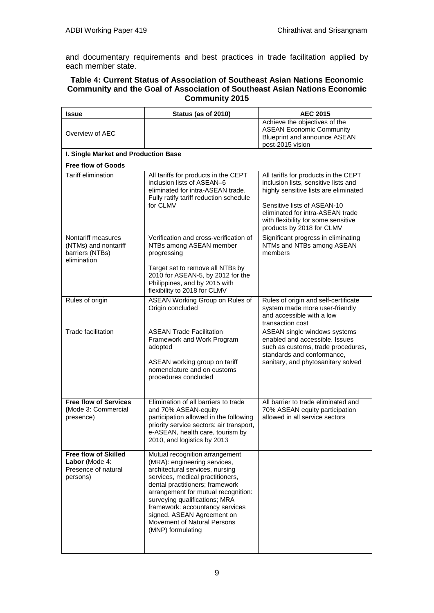and documentary requirements and best practices in trade facilitation applied by each member state.

#### **Table 4: Current Status of Association of Southeast Asian Nations Economic Community and the Goal of Association of Southeast Asian Nations Economic Community 2015**

| Issue                                                                            | Status (as of 2010)                                                                                                                                                                                                                                                                                                                                                   | <b>AEC 2015</b>                                                                                                                                                                                                                                              |
|----------------------------------------------------------------------------------|-----------------------------------------------------------------------------------------------------------------------------------------------------------------------------------------------------------------------------------------------------------------------------------------------------------------------------------------------------------------------|--------------------------------------------------------------------------------------------------------------------------------------------------------------------------------------------------------------------------------------------------------------|
| Overview of AEC                                                                  |                                                                                                                                                                                                                                                                                                                                                                       | Achieve the objectives of the<br><b>ASEAN Economic Community</b><br><b>Blueprint and announce ASEAN</b><br>post-2015 vision                                                                                                                                  |
| I. Single Market and Production Base                                             |                                                                                                                                                                                                                                                                                                                                                                       |                                                                                                                                                                                                                                                              |
| <b>Free flow of Goods</b>                                                        |                                                                                                                                                                                                                                                                                                                                                                       |                                                                                                                                                                                                                                                              |
| Tariff elimination                                                               | All tariffs for products in the CEPT<br>inclusion lists of ASEAN-6<br>eliminated for intra-ASEAN trade.<br>Fully ratify tariff reduction schedule<br>for CLMV                                                                                                                                                                                                         | All tariffs for products in the CEPT<br>inclusion lists, sensitive lists and<br>highly sensitive lists are eliminated<br>Sensitive lists of ASEAN-10<br>eliminated for intra-ASEAN trade<br>with flexibility for some sensitive<br>products by 2018 for CLMV |
| Nontariff measures<br>(NTMs) and nontariff<br>barriers (NTBs)<br>elimination     | Verification and cross-verification of<br>NTBs among ASEAN member<br>progressing<br>Target set to remove all NTBs by<br>2010 for ASEAN-5, by 2012 for the<br>Philippines, and by 2015 with<br>flexibility to 2018 for CLMV                                                                                                                                            | Significant progress in eliminating<br>NTMs and NTBs among ASEAN<br>members                                                                                                                                                                                  |
| Rules of origin                                                                  | ASEAN Working Group on Rules of<br>Origin concluded                                                                                                                                                                                                                                                                                                                   | Rules of origin and self-certificate<br>system made more user-friendly<br>and accessible with a low<br>transaction cost                                                                                                                                      |
| Trade facilitation                                                               | <b>ASEAN Trade Facilitation</b><br>Framework and Work Program<br>adopted<br>ASEAN working group on tariff<br>nomenclature and on customs<br>procedures concluded                                                                                                                                                                                                      | ASEAN single windows systems<br>enabled and accessible. Issues<br>such as customs, trade procedures,<br>standards and conformance,<br>sanitary, and phytosanitary solved                                                                                     |
| <b>Free flow of Services</b><br>(Mode 3: Commercial<br>presence)                 | Elimination of all barriers to trade<br>and 70% ASEAN-equity<br>participation allowed in the following<br>priority service sectors: air transport,<br>e-ASEAN, health care, tourism by<br>2010, and logistics by 2013                                                                                                                                                 | All barrier to trade eliminated and<br>70% ASEAN equity participation<br>allowed in all service sectors                                                                                                                                                      |
| <b>Free flow of Skilled</b><br>Labor (Mode 4:<br>Presence of natural<br>persons) | Mutual recognition arrangement<br>(MRA): engineering services,<br>architectural services, nursing<br>services, medical practitioners,<br>dental practitioners; framework<br>arrangement for mutual recognition:<br>surveying qualifications; MRA<br>framework: accountancy services<br>signed. ASEAN Agreement on<br>Movement of Natural Persons<br>(MNP) formulating |                                                                                                                                                                                                                                                              |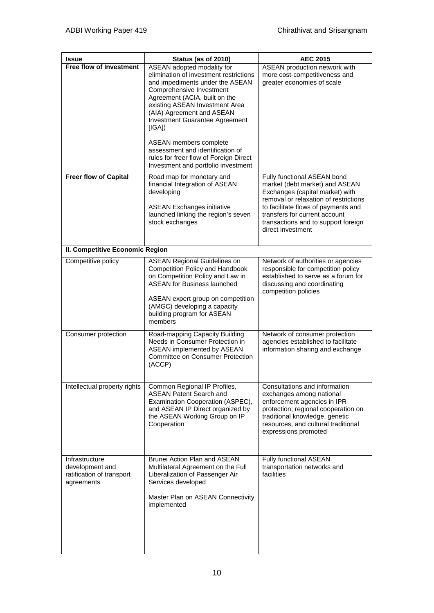| <b>Issue</b>                                                                 | Status (as of 2010)                                                                                                                                                                                                                                                                                                                                                                                                                   | <b>AEC 2015</b>                                                                                                                                                                                                                                                               |
|------------------------------------------------------------------------------|---------------------------------------------------------------------------------------------------------------------------------------------------------------------------------------------------------------------------------------------------------------------------------------------------------------------------------------------------------------------------------------------------------------------------------------|-------------------------------------------------------------------------------------------------------------------------------------------------------------------------------------------------------------------------------------------------------------------------------|
| Free flow of Investment                                                      | ASEAN adopted modality for<br>elimination of investment restrictions<br>and impediments under the ASEAN<br>Comprehensive Investment<br>Agreement (ACIA, built on the<br>existing ASEAN Investment Area<br>(AIA) Agreement and ASEAN<br>Investment Guarantee Agreement<br>[IGA])<br><b>ASEAN members complete</b><br>assessment and identification of<br>rules for freer flow of Foreign Direct<br>Investment and portfolio investment | ASEAN production network with<br>more cost-competitiveness and<br>greater economies of scale                                                                                                                                                                                  |
| <b>Freer flow of Capital</b>                                                 | Road map for monetary and<br>financial Integration of ASEAN<br>developing<br><b>ASEAN Exchanges initiative</b><br>launched linking the region's seven<br>stock exchanges                                                                                                                                                                                                                                                              | Fully functional ASEAN bond<br>market (debt market) and ASEAN<br>Exchanges (capital market) with<br>removal or relaxation of restrictions<br>to facilitate flows of payments and<br>transfers for current account<br>transactions and to support foreign<br>direct investment |
| II. Competitive Economic Region                                              |                                                                                                                                                                                                                                                                                                                                                                                                                                       |                                                                                                                                                                                                                                                                               |
| Competitive policy                                                           | <b>ASEAN Regional Guidelines on</b><br><b>Competition Policy and Handbook</b><br>on Competition Policy and Law in<br><b>ASEAN for Business launched</b><br>ASEAN expert group on competition<br>(AMGC) developing a capacity<br>building program for ASEAN<br>members                                                                                                                                                                 | Network of authorities or agencies<br>responsible for competition policy<br>established to serve as a forum for<br>discussing and coordinating<br>competition policies                                                                                                        |
| Consumer protection                                                          | Road-mapping Capacity Building<br>Needs in Consumer Protection in<br>ASEAN implemented by ASEAN<br><b>Committee on Consumer Protection</b><br>(ACCP)                                                                                                                                                                                                                                                                                  | Network of consumer protection<br>agencies established to facilitate<br>information sharing and exchange                                                                                                                                                                      |
| Intellectual property rights                                                 | Common Regional IP Profiles,<br><b>ASEAN Patent Search and</b><br>Examination Cooperation (ASPEC),<br>and ASEAN IP Direct organized by<br>the ASEAN Working Group on IP<br>Cooperation                                                                                                                                                                                                                                                | Consultations and information<br>exchanges among national<br>enforcement agencies in IPR<br>protection; regional cooperation on<br>traditional knowledge, genetic<br>resources, and cultural traditional<br>expressions promoted                                              |
| Infrastructure<br>development and<br>ratification of transport<br>agreements | Brunei Action Plan and ASEAN<br>Multilateral Agreement on the Full<br>Liberalization of Passenger Air<br>Services developed<br>Master Plan on ASEAN Connectivity<br>implemented                                                                                                                                                                                                                                                       | Fully functional ASEAN<br>transportation networks and<br>facilities                                                                                                                                                                                                           |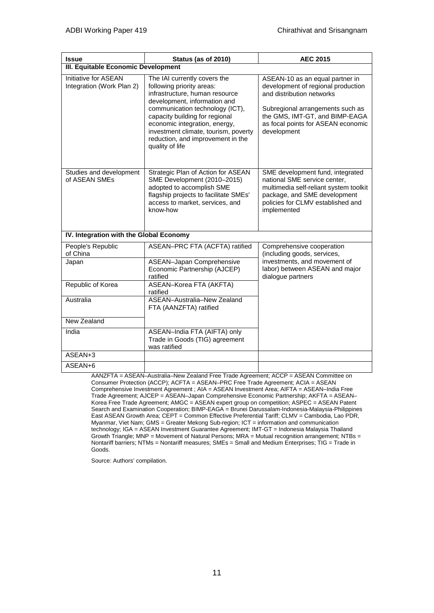| <b>Issue</b>                                      | Status (as of 2010)                                                                                                                                                                                                                                                                                                               | <b>AEC 2015</b>                                                                                                                                                                                                               |
|---------------------------------------------------|-----------------------------------------------------------------------------------------------------------------------------------------------------------------------------------------------------------------------------------------------------------------------------------------------------------------------------------|-------------------------------------------------------------------------------------------------------------------------------------------------------------------------------------------------------------------------------|
| III. Equitable Economic Development               |                                                                                                                                                                                                                                                                                                                                   |                                                                                                                                                                                                                               |
| Initiative for ASEAN<br>Integration (Work Plan 2) | The IAI currently covers the<br>following priority areas:<br>infrastructure, human resource<br>development, information and<br>communication technology (ICT),<br>capacity building for regional<br>economic integration, energy,<br>investment climate, tourism, poverty<br>reduction, and improvement in the<br>quality of life | ASEAN-10 as an equal partner in<br>development of regional production<br>and distribution networks<br>Subregional arrangements such as<br>the GMS, IMT-GT, and BIMP-EAGA<br>as focal points for ASEAN economic<br>development |
| Studies and development<br>of ASEAN SMEs          | Strategic Plan of Action for ASEAN<br>SME Development (2010-2015)<br>adopted to accomplish SME<br>flagship projects to facilitate SMEs'<br>access to market, services, and<br>know-how                                                                                                                                            | SME development fund, integrated<br>national SME service center,<br>multimedia self-reliant system toolkit<br>package, and SME development<br>policies for CLMV established and<br>implemented                                |
| IV. Integration with the Global Economy           |                                                                                                                                                                                                                                                                                                                                   |                                                                                                                                                                                                                               |
| People's Republic<br>of China                     | ASEAN-PRC FTA (ACFTA) ratified                                                                                                                                                                                                                                                                                                    | Comprehensive cooperation<br>(including goods, services,                                                                                                                                                                      |
| Japan                                             | <b>ASEAN-Japan Comprehensive</b><br>Economic Partnership (AJCEP)<br>ratified                                                                                                                                                                                                                                                      | investments, and movement of<br>labor) between ASEAN and major<br>dialogue partners                                                                                                                                           |
| Republic of Korea                                 | ASEAN-Korea FTA (AKFTA)<br>ratified                                                                                                                                                                                                                                                                                               |                                                                                                                                                                                                                               |
| Australia                                         | ASEAN-Australia-New Zealand<br>FTA (AANZFTA) ratified                                                                                                                                                                                                                                                                             |                                                                                                                                                                                                                               |
| New Zealand                                       |                                                                                                                                                                                                                                                                                                                                   |                                                                                                                                                                                                                               |
| India                                             | ASEAN-India FTA (AIFTA) only<br>Trade in Goods (TIG) agreement<br>was ratified                                                                                                                                                                                                                                                    |                                                                                                                                                                                                                               |
| ASEAN+3                                           |                                                                                                                                                                                                                                                                                                                                   |                                                                                                                                                                                                                               |
| ASEAN+6                                           |                                                                                                                                                                                                                                                                                                                                   |                                                                                                                                                                                                                               |

AANZFTA = ASEAN–Australia–New Zealand Free Trade Agreement; ACCP = ASEAN Committee on Consumer Protection (ACCP); ACFTA = ASEAN–PRC Free Trade Agreement; ACIA = ASEAN Comprehensive Investment Agreement ; AIA = ASEAN Investment Area; AIFTA = ASEAN–India Free Trade Agreement; AJCEP = ASEAN–Japan Comprehensive Economic Partnership; AKFTA = ASEAN– Korea Free Trade Agreement; AMGC = ASEAN expert group on competition; ASPEC = ASEAN Patent Search and Examination Cooperation; BIMP-EAGA = Brunei Darussalam-Indonesia-Malaysia-Philippines East ASEAN Growth Area; CEPT = Common Effective Preferential Tariff; CLMV = Cambodia, Lao PDR, Myanmar, Viet Nam; GMS = Greater Mekong Sub-region; ICT = information and communication technology; IGA = ASEAN Investment Guarantee Agreement; IMT-GT = Indonesia Malaysia Thailand Growth Triangle; MNP = Movement of Natural Persons; MRA = Mutual recognition arrangement; NTBs = Nontariff barriers; NTMs = Nontariff measures; SMEs = Small and Medium Enterprises; TIG = Trade in Goods.

Source: Authors' compilation.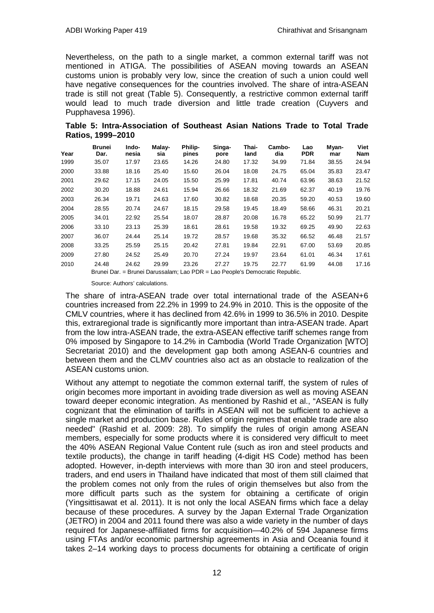Nevertheless, on the path to a single market, a common external tariff was not mentioned in ATIGA. The possibilities of ASEAN moving towards an ASEAN customs union is probably very low, since the creation of such a union could well have negative consequences for the countries involved. The share of intra-ASEAN trade is still not great (Table 5). Consequently, a restrictive common external tariff would lead to much trade diversion and little trade creation (Cuyvers and Pupphavesa 1996).

**Table 5: Intra-Association of Southeast Asian Nations Trade to Total Trade Ratios, 1999–2010**

| Year | Brunei<br>Dar. | Indo-<br>nesia | Malay-<br>sia | Philip-<br>pines | Singa-<br>pore | Thai-<br>land | Cambo-<br>dia | Lao<br><b>PDR</b> | Myan-<br>mar | Viet<br>Nam |
|------|----------------|----------------|---------------|------------------|----------------|---------------|---------------|-------------------|--------------|-------------|
| 1999 | 35.07          | 17.97          | 23.65         | 14.26            | 24.80          | 17.32         | 34.99         | 71.84             | 38.55        | 24.94       |
| 2000 | 33.88          | 18.16          | 25.40         | 15.60            | 26.04          | 18.08         | 24.75         | 65.04             | 35.83        | 23.47       |
| 2001 | 29.62          | 17.15          | 24.05         | 15.50            | 25.99          | 17.81         | 40.74         | 63.96             | 38.63        | 21.52       |
| 2002 | 30.20          | 18.88          | 24.61         | 15.94            | 26.66          | 18.32         | 21.69         | 62.37             | 40.19        | 19.76       |
| 2003 | 26.34          | 19.71          | 24.63         | 17.60            | 30.82          | 18.68         | 20.35         | 59.20             | 40.53        | 19.60       |
| 2004 | 28.55          | 20.74          | 24.67         | 18.15            | 29.58          | 19.45         | 18.49         | 58.66             | 46.31        | 20.21       |
| 2005 | 34.01          | 22.92          | 25.54         | 18.07            | 28.87          | 20.08         | 16.78         | 65.22             | 50.99        | 21.77       |
| 2006 | 33.10          | 23.13          | 25.39         | 18.61            | 28.61          | 19.58         | 19.32         | 69.25             | 49.90        | 22.63       |
| 2007 | 36.07          | 24.44          | 25.14         | 19.72            | 28.57          | 19.68         | 35.32         | 66.52             | 46.48        | 21.57       |
| 2008 | 33.25          | 25.59          | 25.15         | 20.42            | 27.81          | 19.84         | 22.91         | 67.00             | 53.69        | 20.85       |
| 2009 | 27.80          | 24.52          | 25.49         | 20.70            | 27.24          | 19.97         | 23.64         | 61.01             | 46.34        | 17.61       |
| 2010 | 24.48          | 24.62          | 29.99         | 23.26            | 27.27          | 19.75         | 22.77         | 61.99             | 44.08        | 17.16       |

Brunei Dar. = Brunei Darussalam; Lao PDR = Lao People's Democratic Republic.

Source: Authors' calculations.

The share of intra-ASEAN trade over total international trade of the ASEAN+6 countries increased from 22.2% in 1999 to 24.9% in 2010. This is the opposite of the CMLV countries, where it has declined from 42.6% in 1999 to 36.5% in 2010. Despite this, extraregional trade is significantly more important than intra-ASEAN trade. Apart from the low intra-ASEAN trade, the extra-ASEAN effective tariff schemes range from 0% imposed by Singapore to 14.2% in Cambodia (World Trade Organization [WTO] Secretariat 2010) and the development gap both among ASEAN-6 countries and between them and the CLMV countries also act as an obstacle to realization of the ASEAN customs union.

Without any attempt to negotiate the common external tariff, the system of rules of origin becomes more important in avoiding trade diversion as well as moving ASEAN toward deeper economic integration. As mentioned by Rashid et al., "ASEAN is fully cognizant that the elimination of tariffs in ASEAN will not be sufficient to achieve a single market and production base. Rules of origin regimes that enable trade are also needed" (Rashid et al. 2009: 28). To simplify the rules of origin among ASEAN members, especially for some products where it is considered very difficult to meet the 40% ASEAN Regional Value Content rule (such as iron and steel products and textile products), the change in tariff heading (4-digit HS Code) method has been adopted. However, in-depth interviews with more than 30 iron and steel producers, traders, and end users in Thailand have indicated that most of them still claimed that the problem comes not only from the rules of origin themselves but also from the more difficult parts such as the system for obtaining a certificate of origin (Yingsittisawat et al. 2011). It is not only the local ASEAN firms which face a delay because of these procedures. A survey by the Japan External Trade Organization (JETRO) in 2004 and 2011 found there was also a wide variety in the number of days required for Japanese-affiliated firms for acquisition—40.2% of 594 Japanese firms using FTAs and/or economic partnership agreements in Asia and Oceania found it takes 2–14 working days to process documents for obtaining a certificate of origin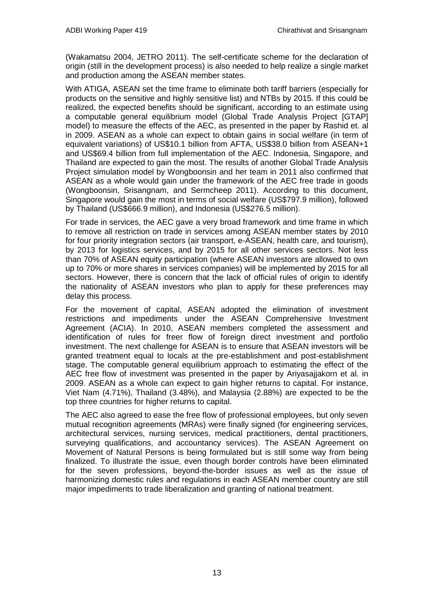(Wakamatsu 2004, JETRO 2011). The self-certificate scheme for the declaration of origin (still in the development process) is also needed to help realize a single market and production among the ASEAN member states.

With ATIGA, ASEAN set the time frame to eliminate both tariff barriers (especially for products on the sensitive and highly sensitive list) and NTBs by 2015. If this could be realized, the expected benefits should be significant, according to an estimate using a computable general equilibrium model (Global Trade Analysis Project [GTAP] model) to measure the effects of the AEC, as presented in the paper by Rashid et. al in 2009. ASEAN as a whole can expect to obtain gains in social welfare (in term of equivalent variations) of US\$10.1 billion from AFTA, US\$38.0 billion from ASEAN+1 and US\$69.4 billion from full implementation of the AEC. Indonesia, Singapore, and Thailand are expected to gain the most. The results of another Global Trade Analysis Project simulation model by Wongboonsin and her team in 2011 also confirmed that ASEAN as a whole would gain under the framework of the AEC free trade in goods (Wongboonsin, Srisangnam, and Sermcheep 2011). According to this document, Singapore would gain the most in terms of social welfare (US\$797.9 million), followed by Thailand (US\$666.9 million), and Indonesia (US\$276.5 million).

For trade in services, the AEC gave a very broad framework and time frame in which to remove all restriction on trade in services among ASEAN member states by 2010 for four priority integration sectors (air transport, e-ASEAN, health care, and tourism), by 2013 for logistics services, and by 2015 for all other services sectors. Not less than 70% of ASEAN equity participation (where ASEAN investors are allowed to own up to 70% or more shares in services companies) will be implemented by 2015 for all sectors. However, there is concern that the lack of official rules of origin to identify the nationality of ASEAN investors who plan to apply for these preferences may delay this process.

For the movement of capital, ASEAN adopted the elimination of investment restrictions and impediments under the ASEAN Comprehensive Investment Agreement (ACIA). In 2010, ASEAN members completed the assessment and identification of rules for freer flow of foreign direct investment and portfolio investment. The next challenge for ASEAN is to ensure that ASEAN investors will be granted treatment equal to locals at the pre-establishment and post-establishment stage. The computable general equilibrium approach to estimating the effect of the AEC free flow of investment was presented in the paper by Ariyasajjakorn et al. in 2009. ASEAN as a whole can expect to gain higher returns to capital. For instance, Viet Nam (4.71%), Thailand (3.48%), and Malaysia (2.88%) are expected to be the top three countries for higher returns to capital.

The AEC also agreed to ease the free flow of professional employees, but only seven mutual recognition agreements (MRAs) were finally signed (for engineering services, architectural services, nursing services, medical practitioners, dental practitioners, surveying qualifications, and accountancy services). The ASEAN Agreement on Movement of Natural Persons is being formulated but is still some way from being finalized. To illustrate the issue, even though border controls have been eliminated for the seven professions, beyond-the-border issues as well as the issue of harmonizing domestic rules and regulations in each ASEAN member country are still major impediments to trade liberalization and granting of national treatment.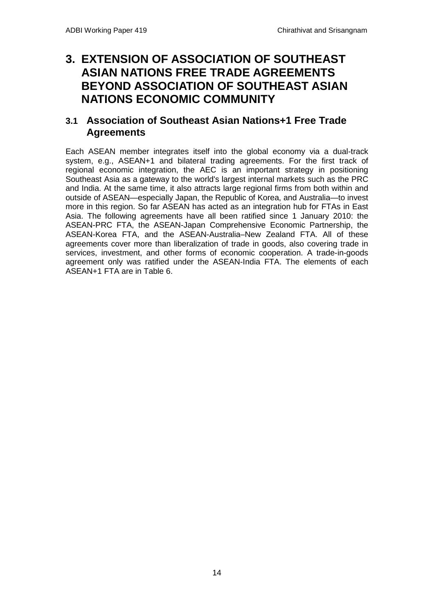## <span id="page-15-1"></span><span id="page-15-0"></span>**3. EXTENSION OF ASSOCIATION OF SOUTHEAST ASIAN NATIONS FREE TRADE AGREEMENTS BEYOND ASSOCIATION OF SOUTHEAST ASIAN NATIONS ECONOMIC COMMUNITY**

## **3.1 Association of Southeast Asian Nations+1 Free Trade Agreements**

Each ASEAN member integrates itself into the global economy via a dual-track system, e.g., ASEAN+1 and bilateral trading agreements. For the first track of regional economic integration, the AEC is an important strategy in positioning Southeast Asia as a gateway to the world's largest internal markets such as the PRC and India. At the same time, it also attracts large regional firms from both within and outside of ASEAN—especially Japan, the Republic of Korea, and Australia—to invest more in this region. So far ASEAN has acted as an integration hub for FTAs in East Asia. The following agreements have all been ratified since 1 January 2010: the ASEAN-PRC FTA, the ASEAN-Japan Comprehensive Economic Partnership, the ASEAN-Korea FTA, and the ASEAN-Australia–New Zealand FTA. All of these agreements cover more than liberalization of trade in goods, also covering trade in services, investment, and other forms of economic cooperation. A trade-in-goods agreement only was ratified under the ASEAN-India FTA. The elements of each ASEAN+1 FTA are in Table 6.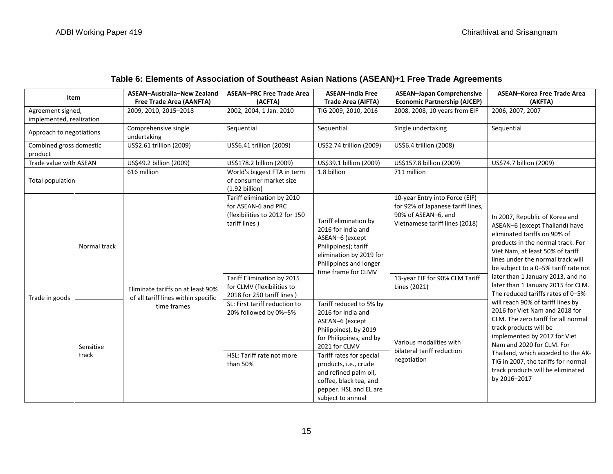| Item                                          |                    | ASEAN-Australia-New Zealand<br>Free Trade Area (AANFTA)                  | <b>ASEAN-PRC Free Trade Area</b><br>(ACFTA)                                                          | <b>ASEAN-India Free</b><br>Trade Area (AIFTA)                                                                                                                                                                                                                                                | <b>ASEAN-Japan Comprehensive</b><br><b>Economic Partnership (AJCEP)</b>                                                      | ASEAN-Korea Free Trade Area<br>(AKFTA)                                                                                                                                                                                                                                                                                              |  |
|-----------------------------------------------|--------------------|--------------------------------------------------------------------------|------------------------------------------------------------------------------------------------------|----------------------------------------------------------------------------------------------------------------------------------------------------------------------------------------------------------------------------------------------------------------------------------------------|------------------------------------------------------------------------------------------------------------------------------|-------------------------------------------------------------------------------------------------------------------------------------------------------------------------------------------------------------------------------------------------------------------------------------------------------------------------------------|--|
| Agreement signed,<br>implemented, realization |                    | 2009, 2010, 2015-2018                                                    | 2002, 2004, 1 Jan. 2010<br>TIG 2009, 2010, 2016<br>2008, 2008, 10 years from EIF                     |                                                                                                                                                                                                                                                                                              | 2006, 2007, 2007                                                                                                             |                                                                                                                                                                                                                                                                                                                                     |  |
| Approach to negotiations                      |                    | Comprehensive single<br>undertaking                                      | Sequential                                                                                           | Sequential                                                                                                                                                                                                                                                                                   | Single undertaking                                                                                                           | Sequential                                                                                                                                                                                                                                                                                                                          |  |
| Combined gross domestic<br>product            |                    | US\$2.61 trillion (2009)                                                 | US\$6.41 trillion (2009)                                                                             | US\$2.74 trillion (2009)                                                                                                                                                                                                                                                                     | US\$6.4 trillion (2008)                                                                                                      |                                                                                                                                                                                                                                                                                                                                     |  |
| Trade value with ASEAN                        |                    | US\$49.2 billion (2009)                                                  | US\$178.2 billion (2009)                                                                             | US\$39.1 billion (2009)                                                                                                                                                                                                                                                                      | US\$157.8 billion (2009)                                                                                                     | US\$74.7 billion (2009)                                                                                                                                                                                                                                                                                                             |  |
| Total population                              |                    | 616 million                                                              | World's biggest FTA in term<br>of consumer market size<br>(1.92 billion)                             | 1.8 billion                                                                                                                                                                                                                                                                                  | 711 million                                                                                                                  |                                                                                                                                                                                                                                                                                                                                     |  |
|                                               | Normal track       |                                                                          | Tariff elimination by 2010<br>for ASEAN-6 and PRC<br>(flexibilities to 2012 for 150<br>tariff lines) | Tariff elimination by<br>2016 for India and<br>ASEAN-6 (except<br>Philippines); tariff<br>elimination by 2019 for<br>Philippines and longer<br>time frame for CLMV                                                                                                                           | 10-year Entry into Force (EIF)<br>for 92% of Japanese tariff lines,<br>90% of ASEAN-6, and<br>Vietnamese tariff lines (2018) | In 2007, Republic of Korea and<br>ASEAN-6 (except Thailand) have<br>eliminated tariffs on 90% of<br>products in the normal track. For<br>Viet Nam, at least 50% of tariff<br>lines under the normal track will<br>be subject to a 0-5% tariff rate not                                                                              |  |
| Trade in goods                                |                    | Eliminate tariffs on at least 90%<br>of all tariff lines within specific | Tariff Elimination by 2015<br>for CLMV (flexibilities to<br>2018 for 250 tariff lines)               |                                                                                                                                                                                                                                                                                              | 13-year EIF for 90% CLM Tariff<br>Lines (2021)                                                                               | later than 1 January 2013, and no<br>later than 1 January 2015 for CLM.<br>The reduced tariffs rates of 0-5%                                                                                                                                                                                                                        |  |
|                                               | Sensitive<br>track | time frames                                                              | SL: First tariff reduction to<br>20% followed by 0%-5%<br>HSL: Tariff rate not more<br>than 50%      | Tariff reduced to 5% by<br>2016 for India and<br>ASEAN-6 (except<br>Philippines), by 2019<br>for Philippines, and by<br>2021 for CLMV<br>Tariff rates for special<br>products, i.e., crude<br>and refined palm oil,<br>coffee, black tea, and<br>pepper. HSL and EL are<br>subject to annual | Various modalities with<br>bilateral tariff reduction<br>negotiation                                                         | will reach 90% of tariff lines by<br>2016 for Viet Nam and 2018 for<br>CLM. The zero tariff for all normal<br>track products will be<br>implemented by 2017 for Viet<br>Nam and 2020 for CLM. For<br>Thailand, which acceded to the AK-<br>TIG in 2007, the tariffs for normal<br>track products will be eliminated<br>by 2016-2017 |  |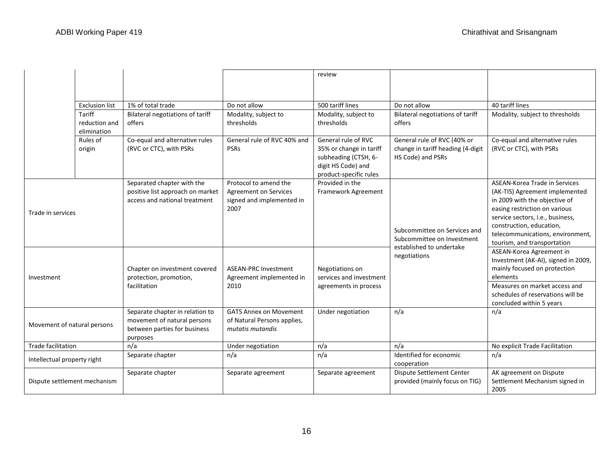|                              |                              |                                                                                                            |                                                                                            | review                                                                                                                 |                                                                                        |                                                                                                                                                                                                                                                                      |
|------------------------------|------------------------------|------------------------------------------------------------------------------------------------------------|--------------------------------------------------------------------------------------------|------------------------------------------------------------------------------------------------------------------------|----------------------------------------------------------------------------------------|----------------------------------------------------------------------------------------------------------------------------------------------------------------------------------------------------------------------------------------------------------------------|
|                              |                              |                                                                                                            |                                                                                            |                                                                                                                        |                                                                                        |                                                                                                                                                                                                                                                                      |
|                              | <b>Exclusion list</b>        | 1% of total trade                                                                                          | Do not allow                                                                               | 500 tariff lines                                                                                                       | Do not allow                                                                           | 40 tariff lines                                                                                                                                                                                                                                                      |
|                              | Tariff                       |                                                                                                            |                                                                                            |                                                                                                                        |                                                                                        |                                                                                                                                                                                                                                                                      |
|                              | reduction and<br>elimination | Bilateral negotiations of tariff<br>offers                                                                 | Modality, subject to<br>thresholds                                                         | Modality, subject to<br>thresholds                                                                                     | Bilateral negotiations of tariff<br>offers                                             | Modality, subject to thresholds                                                                                                                                                                                                                                      |
|                              | Rules of<br>origin           | Co-equal and alternative rules<br>(RVC or CTC), with PSRs                                                  | General rule of RVC 40% and<br><b>PSRs</b>                                                 | General rule of RVC<br>35% or change in tariff<br>subheading (CTSH, 6-<br>digit HS Code) and<br>product-specific rules | General rule of RVC (40% or<br>change in tariff heading (4-digit<br>HS Code) and PSRs  | Co-equal and alternative rules<br>(RVC or CTC), with PSRs                                                                                                                                                                                                            |
| Trade in services            |                              | Separated chapter with the<br>positive list approach on market<br>access and national treatment            | Protocol to amend the<br><b>Agreement on Services</b><br>signed and implemented in<br>2007 | Provided in the<br>Framework Agreement                                                                                 | Subcommittee on Services and<br>Subcommittee on Investment<br>established to undertake | ASEAN-Korea Trade in Services<br>(AK-TIS) Agreement implemented<br>in 2009 with the objective of<br>easing restriction on various<br>service sectors, i.e., business,<br>construction, education,<br>telecommunications, environment,<br>tourism, and transportation |
| Investment                   |                              | Chapter on investment covered<br>protection, promotion,<br>facilitation                                    | <b>ASEAN-PRC Investment</b><br>Agreement implemented in<br>2010                            | Negotiations on<br>services and investment<br>agreements in process                                                    | negotiations                                                                           | ASEAN-Korea Agreement in<br>Investment (AK-AI), signed in 2009,<br>mainly focused on protection<br>elements<br>Measures on market access and<br>schedules of reservations will be<br>concluded within 5 years                                                        |
| Movement of natural persons  |                              | Separate chapter in relation to<br>movement of natural persons<br>between parties for business<br>purposes | <b>GATS Annex on Movement</b><br>of Natural Persons applies,<br>mutatis mutandis           | Under negotiation                                                                                                      | n/a                                                                                    | n/a                                                                                                                                                                                                                                                                  |
| Trade facilitation           |                              | n/a                                                                                                        | Under negotiation                                                                          | n/a                                                                                                                    | n/a                                                                                    | No explicit Trade Facilitation                                                                                                                                                                                                                                       |
| Intellectual property right  |                              | Separate chapter                                                                                           | n/a                                                                                        | n/a                                                                                                                    | Identified for economic<br>cooperation                                                 | n/a                                                                                                                                                                                                                                                                  |
| Dispute settlement mechanism |                              | Separate chapter                                                                                           | Separate agreement                                                                         | Separate agreement                                                                                                     | Dispute Settlement Center<br>provided (mainly focus on TIG)                            | AK agreement on Dispute<br>Settlement Mechanism signed in<br>2005                                                                                                                                                                                                    |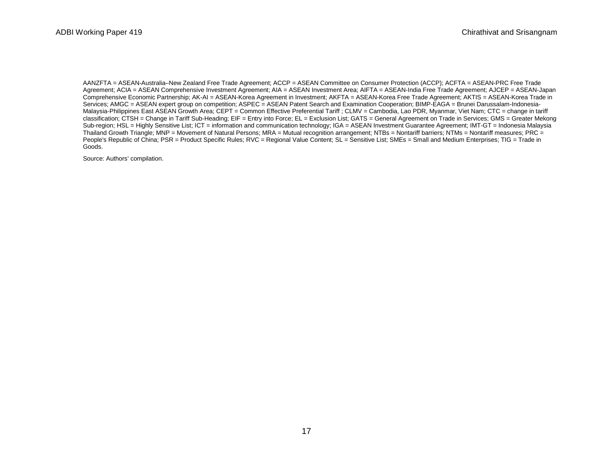AANZFTA = ASEAN-Australia–New Zealand Free Trade Agreement; ACCP = ASEAN Committee on Consumer Protection (ACCP); ACFTA = ASEAN-PRC Free Trade Agreement; ACIA = ASEAN Comprehensive Investment Agreement; AIA = ASEAN Investment Area; AIFTA = ASEAN-India Free Trade Agreement; AJCEP = ASEAN-Japan Comprehensive Economic Partnership; AK-AI = ASEAN-Korea Agreement in Investment; AKFTA = ASEAN-Korea Free Trade Agreement; AKTIS = ASEAN-Korea Trade in Services; AMGC = ASEAN expert group on competition; ASPEC = ASEAN Patent Search and Examination Cooperation; BIMP-EAGA = Brunei Darussalam-Indonesia-Malaysia-Philippines East ASEAN Growth Area; CEPT = Common Effective Preferential Tariff ; CLMV = Cambodia, Lao PDR, Myanmar, Viet Nam; CTC = change in tariff classification; CTSH = Change in Tariff Sub-Heading; EIF = Entry into Force; EL = Exclusion List; GATS = General Agreement on Trade in Services; GMS = Greater Mekong Sub-region; HSL = Highly Sensitive List; ICT = information and communication technology; IGA = ASEAN Investment Guarantee Agreement; IMT-GT = Indonesia Malaysia Thailand Growth Triangle; MNP = Movement of Natural Persons; MRA = Mutual recognition arrangement; NTBs = Nontariff barriers; NTMs = Nontariff measures; PRC = People's Republic of China; PSR = Product Specific Rules; RVC = Regional Value Content; SL = Sensitive List; SMEs = Small and Medium Enterprises; TIG = Trade in Goods.

Source: Authors' compilation.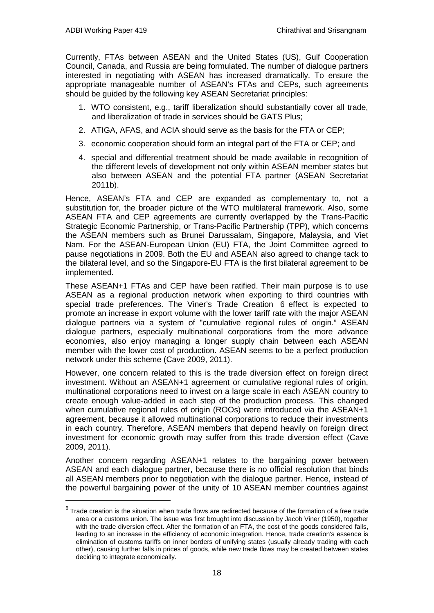Currently, FTAs between ASEAN and the United States (US), Gulf Cooperation Council, Canada, and Russia are being formulated. The number of dialogue partners interested in negotiating with ASEAN has increased dramatically. To ensure the appropriate manageable number of ASEAN's FTAs and CEPs, such agreements should be guided by the following key ASEAN Secretariat principles:

- 1. WTO consistent, e.g., tariff liberalization should substantially cover all trade, and liberalization of trade in services should be GATS Plus;
- 2. ATIGA, AFAS, and ACIA should serve as the basis for the FTA or CEP;
- 3. economic cooperation should form an integral part of the FTA or CEP; and
- 4. special and differential treatment should be made available in recognition of the different levels of development not only within ASEAN member states but also between ASEAN and the potential FTA partner (ASEAN Secretariat 2011b).

Hence, ASEAN's FTA and CEP are expanded as complementary to, not a substitution for, the broader picture of the WTO multilateral framework. Also, some ASEAN FTA and CEP agreements are currently overlapped by the Trans-Pacific Strategic Economic Partnership, or Trans-Pacific Partnership (TPP), which concerns the ASEAN members such as Brunei Darussalam, Singapore, Malaysia, and Viet Nam. For the ASEAN-European Union (EU) FTA, the Joint Committee agreed to pause negotiations in 2009. Both the EU and ASEAN also agreed to change tack to the bilateral level, and so the Singapore-EU FTA is the first bilateral agreement to be implemented.

These ASEAN+1 FTAs and CEP have been ratified. Their main purpose is to use ASEAN as a regional production network when exporting to third countries with special trade preferences. The Viner's Trade Creation [6](#page-19-0) effect is expected to promote an increase in export volume with the lower tariff rate with the major ASEAN dialogue partners via a system of "cumulative regional rules of origin." ASEAN dialogue partners, especially multinational corporations from the more advance economies, also enjoy managing a longer supply chain between each ASEAN member with the lower cost of production. ASEAN seems to be a perfect production network under this scheme (Cave 2009, 2011).

However, one concern related to this is the trade diversion effect on foreign direct investment. Without an ASEAN+1 agreement or cumulative regional rules of origin, multinational corporations need to invest on a large scale in each ASEAN country to create enough value-added in each step of the production process. This changed when cumulative regional rules of origin (ROOs) were introduced via the ASEAN+1 agreement, because it allowed multinational corporations to reduce their investments in each country. Therefore, ASEAN members that depend heavily on foreign direct investment for economic growth may suffer from this trade diversion effect (Cave 2009, 2011).

Another concern regarding ASEAN+1 relates to the bargaining power between ASEAN and each dialogue partner, because there is no official resolution that binds all ASEAN members prior to negotiation with the dialogue partner. Hence, instead of the powerful bargaining power of the unity of 10 ASEAN member countries against

<span id="page-19-0"></span> $6$  Trade creation is the situation when trade flows are redirected because of the formation of a free trade area or a customs union. The issue was first brought into discussion by Jacob Viner (1950), together with the trade diversion effect. After the formation of an FTA, the cost of the goods considered falls, leading to an increase in the efficiency of economic integration. Hence, trade creation's essence is elimination of customs tariffs on inner borders of unifying states (usually already trading with each other), causing further falls in prices of goods, while new trade flows may be created between states deciding to integrate economically.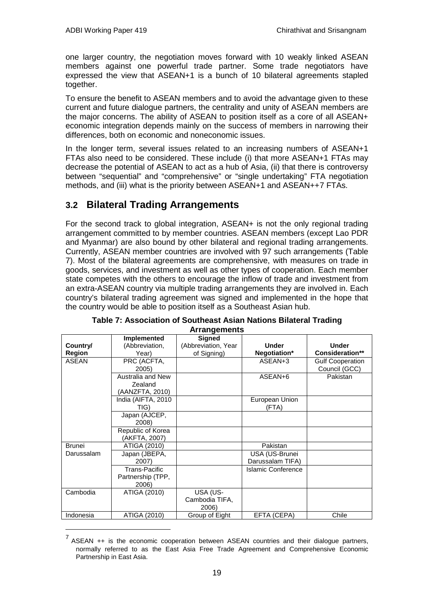one larger country, the negotiation moves forward with 10 weakly linked ASEAN members against one powerful trade partner. Some trade negotiators have expressed the view that ASEAN+1 is a bunch of 10 bilateral agreements stapled together.

To ensure the benefit to ASEAN members and to avoid the advantage given to these current and future dialogue partners, the centrality and unity of ASEAN members are the major concerns. The ability of ASEAN to position itself as a core of all ASEAN+ economic integration depends mainly on the success of members in narrowing their differences, both on economic and noneconomic issues.

<span id="page-20-0"></span>In the longer term, several issues related to an increasing numbers of ASEAN+1 FTAs also need to be considered. These include (i) that more ASEAN+1 FTAs may decrease the potential of ASEAN to act as a hub of Asia, (ii) that there is controversy between "sequential" and "comprehensive" or "single undertaking" FTA negotiation methods, and (iii) what is the priority between ASEAN+1 and ASEAN++[7](#page-20-1) FTAs.

### **3.2 Bilateral Trading Arrangements**

For the second track to global integration, ASEAN+ is not the only regional trading arrangement committed to by member countries. ASEAN members (except Lao PDR and Myanmar) are also bound by other bilateral and regional trading arrangements. Currently, ASEAN member countries are involved with 97 such arrangements (Table 7). Most of the bilateral agreements are comprehensive, with measures on trade in goods, services, and investment as well as other types of cooperation. Each member state competes with the others to encourage the inflow of trade and investment from an extra-ASEAN country via multiple trading arrangements they are involved in. Each country's bilateral trading agreement was signed and implemented in the hope that the country would be able to position itself as a Southeast Asian hub.

|               | Implemented        | <b>Signed</b>       |                    |                         |  |
|---------------|--------------------|---------------------|--------------------|-------------------------|--|
| Country/      | (Abbreviation,     | (Abbreviation, Year | <b>Under</b>       | <b>Under</b>            |  |
| <b>Region</b> | Year)              | of Signing)         | Negotiation*       | <b>Consideration**</b>  |  |
| <b>ASEAN</b>  | PRC (ACFTA,        |                     | ASEAN+3            | <b>Gulf Cooperation</b> |  |
|               | 2005)              |                     |                    | Council (GCC)           |  |
|               | Australia and New  |                     | ASEAN+6            | Pakistan                |  |
|               | Zealand            |                     |                    |                         |  |
|               | (AANZFTA, 2010)    |                     |                    |                         |  |
|               | India (AIFTA, 2010 |                     | European Union     |                         |  |
|               | TIG)               |                     | (FTA)              |                         |  |
|               | Japan (AJCEP,      |                     |                    |                         |  |
|               | 2008)              |                     |                    |                         |  |
|               | Republic of Korea  |                     |                    |                         |  |
|               | (AKFTA, 2007)      |                     |                    |                         |  |
| <b>Brunei</b> | ATIGA (2010)       |                     | Pakistan           |                         |  |
| Darussalam    | Japan (JBEPA,      |                     | USA (US-Brunei     |                         |  |
|               | 2007)              |                     | Darussalam TIFA)   |                         |  |
|               | Trans-Pacific      |                     | Islamic Conference |                         |  |
|               | Partnership (TPP,  |                     |                    |                         |  |
|               | 2006)              |                     |                    |                         |  |
| Cambodia      | ATIGA (2010)       | USA (US-            |                    |                         |  |
|               |                    | Cambodia TIFA,      |                    |                         |  |
|               |                    | 2006)               |                    |                         |  |
| Indonesia     | ATIGA (2010)       | Group of Eight      | EFTA (CEPA)        | Chile                   |  |

**Table 7: Association of Southeast Asian Nations Bilateral Trading Arrangements**

<span id="page-20-1"></span>ASEAN ++ is the economic cooperation between ASEAN countries and their dialogue partners, normally referred to as the East Asia Free Trade Agreement and Comprehensive Economic Partnership in East Asia.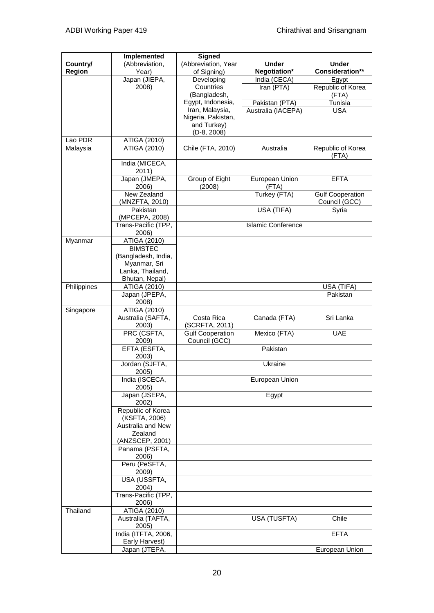|             | <b>Implemented</b>                    | <b>Signed</b>                |                           |                         |
|-------------|---------------------------------------|------------------------------|---------------------------|-------------------------|
| Country/    | (Abbreviation,                        | (Abbreviation, Year          | <b>Under</b>              | <b>Under</b>            |
| Region      | Year)                                 | of Signing)                  | Negotiation*              | Consideration**         |
|             | Japan (JIEPA,                         | Developing                   | India (CECA)              | Egypt                   |
|             | 2008)                                 | Countries                    | Iran (PTA)                | Republic of Korea       |
|             |                                       | (Bangladesh,                 |                           | (FTA)                   |
|             |                                       | Egypt, Indonesia,            | Pakistan (PTA)            | Tunisia                 |
|             |                                       | Iran, Malaysia,              | Australia (IACEPA)        | <b>USA</b>              |
|             |                                       | Nigeria, Pakistan,           |                           |                         |
|             |                                       | and Turkey)<br>$(D-8, 2008)$ |                           |                         |
| Lao PDR     | ATIGA (2010)                          |                              |                           |                         |
| Malaysia    | ATIGA (2010)                          | Chile (FTA, 2010)            | Australia                 | Republic of Korea       |
|             |                                       |                              |                           | (FTA)                   |
|             | India (MICECA,                        |                              |                           |                         |
|             | 2011)                                 |                              |                           |                         |
|             | Japan (JMEPA,                         | Group of Eight               | European Union            | <b>EFTA</b>             |
|             | 2006)                                 | (2008)                       | (FTA)                     |                         |
|             | New Zealand                           |                              | Turkey (FTA)              | <b>Gulf Cooperation</b> |
|             | (MNZFTA, 2010)                        |                              |                           | Council (GCC)           |
|             | Pakistan                              |                              | USA (TIFA)                | Syria                   |
|             | (MPCEPA, 2008)                        |                              |                           |                         |
|             | Trans-Pacific (TPP,                   |                              | <b>Islamic Conference</b> |                         |
|             | 2006)                                 |                              |                           |                         |
| Myanmar     | ATIGA (2010)                          |                              |                           |                         |
|             | <b>BIMSTEC</b><br>(Bangladesh, India, |                              |                           |                         |
|             | Myanmar, Sri                          |                              |                           |                         |
|             | Lanka, Thailand,                      |                              |                           |                         |
|             | Bhutan, Nepal)                        |                              |                           |                         |
| Philippines | ATIGA (2010)                          |                              |                           | USA (TIFA)              |
|             | Japan (JPEPA,                         |                              |                           | Pakistan                |
|             | 2008)                                 |                              |                           |                         |
| Singapore   | ATIGA (2010)                          |                              |                           |                         |
|             | Australia (SAFTA,                     | Costa Rica                   | Canada (FTA)              | Sri Lanka               |
|             | 2003)                                 | (SCRFTA, 2011)               |                           |                         |
|             | PRC (CSFTA,                           | <b>Gulf Cooperation</b>      | Mexico (FTA)              | <b>UAE</b>              |
|             | 2009)                                 | Council (GCC)                |                           |                         |
|             | EFTA (ESFTA,                          |                              | Pakistan                  |                         |
|             | 2003)                                 |                              |                           |                         |
|             | Jordan (SJFTA,                        |                              | Ukraine                   |                         |
|             | 2005)<br>India (ISCECA,               |                              | European Union            |                         |
|             | 2005)                                 |                              |                           |                         |
|             | Japan (JSEPA,                         |                              | Egypt                     |                         |
|             | 2002)                                 |                              |                           |                         |
|             | Republic of Korea                     |                              |                           |                         |
|             | (KSFTA, 2006)                         |                              |                           |                         |
|             | Australia and New                     |                              |                           |                         |
|             | Zealand                               |                              |                           |                         |
|             | (ANZSCEP, 2001)                       |                              |                           |                         |
|             | Panama (PSFTA,                        |                              |                           |                         |
|             | 2006)                                 |                              |                           |                         |
|             | Peru (PeSFTA,                         |                              |                           |                         |
|             | 2009)<br>USA (USSFTA,                 |                              |                           |                         |
|             | 2004)                                 |                              |                           |                         |
|             | Trans-Pacific (TPP,                   |                              |                           |                         |
|             | 2006)                                 |                              |                           |                         |
| Thailand    | ATIGA (2010)                          |                              |                           |                         |
|             | Australia (TAFTA,                     |                              | USA (TUSFTA)              | Chile                   |
|             | 2005)                                 |                              |                           |                         |
|             | India (ITFTA, 2006,                   |                              |                           | <b>EFTA</b>             |
|             | Early Harvest)                        |                              |                           |                         |
|             | Japan (JTEPA,                         |                              |                           | European Union          |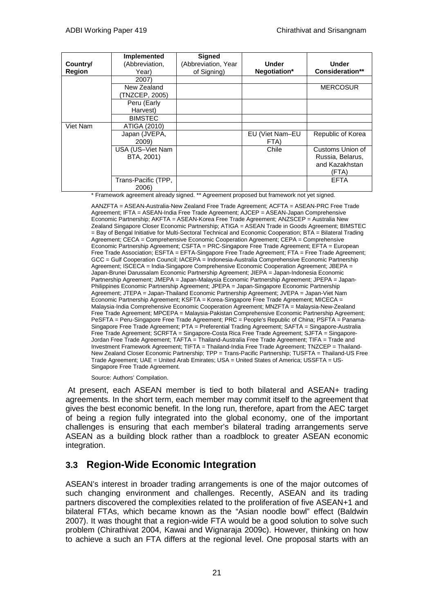|          | Implemented         | Signed              |                 |                        |
|----------|---------------------|---------------------|-----------------|------------------------|
| Country/ | (Abbreviation,      | (Abbreviation, Year | <b>Under</b>    | <b>Under</b>           |
| Region   | Year)               | of Signing)         | Negotiation*    | <b>Consideration**</b> |
|          | 2007)               |                     |                 |                        |
|          | New Zealand         |                     |                 | <b>MERCOSUR</b>        |
|          | (TNZCEP. 2005)      |                     |                 |                        |
|          | Peru (Early         |                     |                 |                        |
|          | Harvest)            |                     |                 |                        |
|          | <b>BIMSTEC</b>      |                     |                 |                        |
| Viet Nam | ATIGA (2010)        |                     |                 |                        |
|          | Japan (JVEPA,       |                     | EU (Viet Nam-EU | Republic of Korea      |
|          | 2009)               |                     | FTA)            |                        |
|          | USA (US-Viet Nam    |                     | Chile           | Customs Union of       |
|          | BTA, 2001)          |                     |                 | Russia, Belarus,       |
|          |                     |                     |                 | and Kazakhstan         |
|          |                     |                     |                 | (FTA)                  |
|          | Trans-Pacific (TPP, |                     |                 | <b>EFTA</b>            |
|          | 2006)               |                     |                 |                        |

\* Framework agreement already signed. \*\* Agreement proposed but framework not yet signed.

AANZFTA = ASEAN-Australia-New Zealand Free Trade Agreement; ACFTA = ASEAN-PRC Free Trade Agreement; IFTA = ASEAN-India Free Trade Agreement; AJCEP = ASEAN-Japan Comprehensive Economic Partnership; AKFTA = ASEAN-Korea Free Trade Agreement; ANZSCEP = Australia New Zealand Singapore Closer Economic Partnership; ATIGA = ASEAN Trade in Goods Agreement; BIMSTEC = Bay of Bengal Initiative for Multi-Sectoral Technical and Economic Cooperation; BTA = Bilateral Trading Agreement; CECA = Comprehensive Economic Cooperation Agreement; CEPA = Comprehensive Economic Partnership Agreement; CSFTA = PRC-Singapore Free Trade Agreement; EFTA = European Free Trade Association; ESFTA = EFTA-Singapore Free Trade Agreement; FTA = Free Trade Agreement; GCC = Gulf Cooperation Council; IACEPA = Indonesia-Australia Comprehensive Economic Partnership Agreement; ISCECA = India-Singapore Comprehensive Economic Cooperation Agreement; JBEPA = Japan-Brunei Darussalam Economic Partnership Agreement; JIEPA = Japan-Indonesia Economic Partnership Agreement; JMEPA = Japan-Malaysia Economic Partnership Agreement; JPEPA = Japan-Philippines Economic Partnership Agreement; JPEPA = Japan-Singapore Economic Partnership Agreement; JTEPA = Japan-Thailand Economic Partnership Agreement; JVEPA = Japan-Viet Nam Economic Partnership Agreement; KSFTA = Korea-Singapore Free Trade Agreement; MICECA = Malaysia-India Comprehensive Economic Cooperation Agreement; MNZFTA = Malaysia-New-Zealand Free Trade Agreement; MPCEPA = Malaysia-Pakistan Comprehensive Economic Partnership Agreement; PeSFTA = Peru-Singapore Free Trade Agreement; PRC = People's Republic of China; PSFTA = Panama-Singapore Free Trade Agreement; PTA = Preferential Trading Agreement; SAFTA = Singapore-Australia Free Trade Agreement; SCRFTA = Singapore-Costa Rica Free Trade Agreement; SJFTA = Singapore-Jordan Free Trade Agreement; TAFTA = Thailand-Australia Free Trade Agreement; TIFA = Trade and Investment Framework Agreement; TIFTA = Thailand-India Free Trade Agreement; TNZCEP = Thailand-New Zealand Closer Economic Partnership; TPP = Trans-Pacific Partnership; TUSFTA = Thailand-US Free Trade Agreement; UAE = United Arab Emirates; USA = United States of America; USSFTA = US-Singapore Free Trade Agreement.

Source: Authors' Compilation.

<span id="page-22-0"></span>At present, each ASEAN member is tied to both bilateral and ASEAN+ trading agreements. In the short term, each member may commit itself to the agreement that gives the best economic benefit. In the long run, therefore, apart from the AEC target of being a region fully integrated into the global economy, one of the important challenges is ensuring that each member's bilateral trading arrangements serve ASEAN as a building block rather than a roadblock to greater ASEAN economic integration.

### **3.3 Region-Wide Economic Integration**

ASEAN's interest in broader trading arrangements is one of the major outcomes of such changing environment and challenges. Recently, ASEAN and its trading partners discovered the complexities related to the proliferation of five ASEAN+1 and bilateral FTAs, which became known as the "Asian noodle bowl" effect (Baldwin 2007). It was thought that a region-wide FTA would be a good solution to solve such problem (Chirathivat 2004, Kawai and Wignaraja 2009c). However, thinking on how to achieve a such an FTA differs at the regional level. One proposal starts with an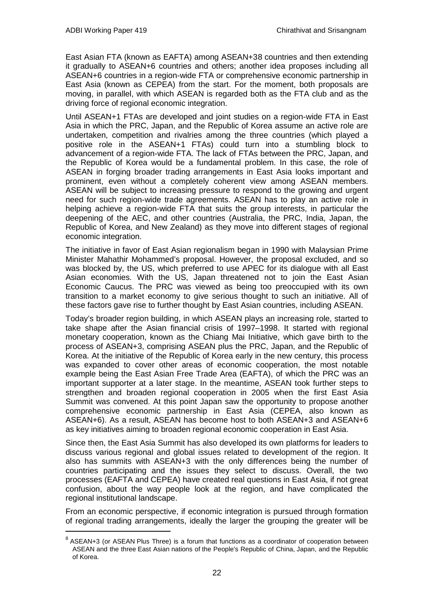East Asian FTA (known as EAFTA) among ASEAN+3[8](#page-23-0) countries and then extending it gradually to ASEAN+6 countries and others; another idea proposes including all ASEAN+6 countries in a region-wide FTA or comprehensive economic partnership in East Asia (known as CEPEA) from the start. For the moment, both proposals are moving, in parallel, with which ASEAN is regarded both as the FTA club and as the driving force of regional economic integration.

Until ASEAN+1 FTAs are developed and joint studies on a region-wide FTA in East Asia in which the PRC, Japan, and the Republic of Korea assume an active role are undertaken, competition and rivalries among the three countries (which played a positive role in the ASEAN+1 FTAs) could turn into a stumbling block to advancement of a region-wide FTA. The lack of FTAs between the PRC, Japan, and the Republic of Korea would be a fundamental problem. In this case, the role of ASEAN in forging broader trading arrangements in East Asia looks important and prominent, even without a completely coherent view among ASEAN members. ASEAN will be subject to increasing pressure to respond to the growing and urgent need for such region-wide trade agreements. ASEAN has to play an active role in helping achieve a region-wide FTA that suits the group interests, in particular the deepening of the AEC, and other countries (Australia, the PRC, India, Japan, the Republic of Korea, and New Zealand) as they move into different stages of regional economic integration.

The initiative in favor of East Asian regionalism began in 1990 with Malaysian Prime Minister Mahathir Mohammed's proposal. However, the proposal excluded, and so was blocked by, the US, which preferred to use APEC for its dialogue with all East Asian economies. With the US, Japan threatened not to join the East Asian Economic Caucus. The PRC was viewed as being too preoccupied with its own transition to a market economy to give serious thought to such an initiative. All of these factors gave rise to further thought by East Asian countries, including ASEAN.

Today's broader region building, in which ASEAN plays an increasing role, started to take shape after the Asian financial crisis of 1997–1998. It started with regional monetary cooperation, known as the Chiang Mai Initiative, which gave birth to the process of ASEAN+3, comprising ASEAN plus the PRC, Japan, and the Republic of Korea. At the initiative of the Republic of Korea early in the new century, this process was expanded to cover other areas of economic cooperation, the most notable example being the East Asian Free Trade Area (EAFTA), of which the PRC was an important supporter at a later stage. In the meantime, ASEAN took further steps to strengthen and broaden regional cooperation in 2005 when the first East Asia Summit was convened. At this point Japan saw the opportunity to propose another comprehensive economic partnership in East Asia (CEPEA, also known as ASEAN+6). As a result, ASEAN has become host to both ASEAN+3 and ASEAN+6 as key initiatives aiming to broaden regional economic cooperation in East Asia.

Since then, the East Asia Summit has also developed its own platforms for leaders to discuss various regional and global issues related to development of the region. It also has summits with ASEAN+3 with the only differences being the number of countries participating and the issues they select to discuss. Overall, the two processes (EAFTA and CEPEA) have created real questions in East Asia, if not great confusion, about the way people look at the region, and have complicated the regional institutional landscape.

From an economic perspective, if economic integration is pursued through formation of regional trading arrangements, ideally the larger the grouping the greater will be

<span id="page-23-0"></span> $8$  [ASEAN](http://en.wikipedia.org/wiki/Association_of_Southeast_Asian_Nations)+3 (or ASEAN Plus Three) is a forum that functions as a coordinator of cooperation between ASEAN and the three [East Asian](http://en.wikipedia.org/wiki/East_Asia) nations of the People's Republic of [China,](http://en.wikipedia.org/wiki/China) [Japan,](http://en.wikipedia.org/wiki/Japan) and [the Republic](http://en.wikipedia.org/wiki/South_Korea)  [of Korea.](http://en.wikipedia.org/wiki/South_Korea)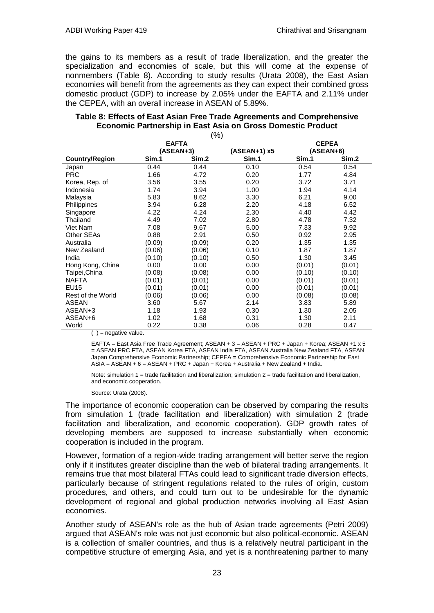the gains to its members as a result of trade liberalization, and the greater the specialization and economies of scale, but this will come at the expense of nonmembers (Table 8). According to study results (Urata 2008), the East Asian economies will benefit from the agreements as they can expect their combined gross domestic product (GDP) to increase by 2.05% under the EAFTA and 2.11% under the CEPEA, with an overall increase in ASEAN of 5.89%.

|                       | \'Y<br><b>EAFTA</b> |        |              | <b>CEPEA</b> |        |
|-----------------------|---------------------|--------|--------------|--------------|--------|
|                       | (ASEAN+3)           |        | (ASEAN+1) x5 | (ASEAN+6)    |        |
| <b>Country/Region</b> | Sim.1               | Sim.2  | Sim.1        | Sim.1        | Sim.2  |
| Japan                 | 0.44                | 0.44   | 0.10         | 0.54         | 0.54   |
| <b>PRC</b>            | 1.66                | 4.72   | 0.20         | 1.77         | 4.84   |
| Korea, Rep. of        | 3.56                | 3.55   | 0.20         | 3.72         | 3.71   |
| Indonesia             | 1.74                | 3.94   | 1.00         | 1.94         | 4.14   |
| Malaysia              | 5.83                | 8.62   | 3.30         | 6.21         | 9.00   |
| Philippines           | 3.94                | 6.28   | 2.20         | 4.18         | 6.52   |
| Singapore             | 4.22                | 4.24   | 2.30         | 4.40         | 4.42   |
| Thailand              | 4.49                | 7.02   | 2.80         | 4.78         | 7.32   |
| Viet Nam              | 7.08                | 9.67   | 5.00         | 7.33         | 9.92   |
| Other SEAs            | 0.88                | 2.91   | 0.50         | 0.92         | 2.95   |
| Australia             | (0.09)              | (0.09) | 0.20         | 1.35         | 1.35   |
| New Zealand           | (0.06)              | (0.06) | 0.10         | 1.87         | 1.87   |
| India                 | (0.10)              | (0.10) | 0.50         | 1.30         | 3.45   |
| Hong Kong, China      | 0.00                | 0.00   | 0.00         | (0.01)       | (0.01) |
| Taipei,China          | (0.08)              | (0.08) | 0.00         | (0.10)       | (0.10) |
| <b>NAFTA</b>          | (0.01)              | (0.01) | 0.00         | (0.01)       | (0.01) |
| <b>EU15</b>           | (0.01)              | (0.01) | 0.00         | (0.01)       | (0.01) |
| Rest of the World     | (0.06)              | (0.06) | 0.00         | (0.08)       | (0.08) |
| ASEAN                 | 3.60                | 5.67   | 2.14         | 3.83         | 5.89   |
| ASEAN+3               | 1.18                | 1.93   | 0.30         | 1.30         | 2.05   |
| ASEAN+6               | 1.02                | 1.68   | 0.31         | 1.30         | 2.11   |
| World                 | 0.22                | 0.38   | 0.06         | 0.28         | 0.47   |

#### **Table 8: Effects of East Asian Free Trade Agreements and Comprehensive Economic Partnership in East Asia on Gross Domestic Product**  $(0/\)$

 $( )$  = negative value.

EAFTA = East Asia Free Trade Agreement; ASEAN + 3 = ASEAN + PRC + Japan + Korea; ASEAN +1 x 5 = ASEAN PRC FTA, ASEAN Korea FTA, ASEAN India FTA, ASEAN Australia New Zealand FTA, ASEAN Japan Comprehensive Economic Partnership; CEPEA = Comprehensive Economic Partnership for East ASIA = ASEAN + 6 = ASEAN + PRC + Japan + Korea + Australia + New Zealand + India.

Note: simulation  $1 =$  trade facilitation and liberalization; simulation  $2 =$  trade facilitation and liberalization, and economic cooperation.

Source: Urata (2008).

The importance of economic cooperation can be observed by comparing the results from simulation 1 (trade facilitation and liberalization) with simulation 2 (trade facilitation and liberalization, and economic cooperation). GDP growth rates of developing members are supposed to increase substantially when economic cooperation is included in the program.

However, formation of a region-wide trading arrangement will better serve the region only if it institutes greater discipline than the web of bilateral trading arrangements. It remains true that most bilateral FTAs could lead to significant trade diversion effects, particularly because of stringent regulations related to the rules of origin, custom procedures, and others, and could turn out to be undesirable for the dynamic development of regional and global production networks involving all East Asian economies.

Another study of ASEAN's role as the hub of Asian trade agreements (Petri 2009) argued that ASEAN's role was not just economic but also political-economic. ASEAN is a collection of smaller countries, and thus is a relatively neutral participant in the competitive structure of emerging Asia, and yet is a nonthreatening partner to many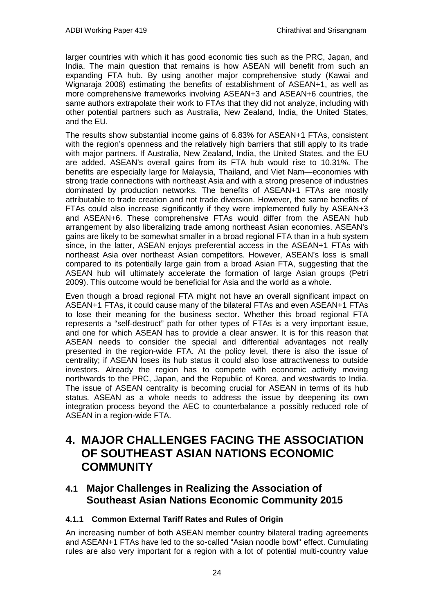larger countries with which it has good economic ties such as the PRC, Japan, and India. The main question that remains is how ASEAN will benefit from such an expanding FTA hub. By using another major comprehensive study (Kawai and Wignaraja 2008) estimating the benefits of establishment of ASEAN+1, as well as more comprehensive frameworks involving ASEAN+3 and ASEAN+6 countries, the same authors extrapolate their work to FTAs that they did not analyze, including with other potential partners such as Australia, New Zealand, India, the United States, and the EU.

The results show substantial income gains of 6.83% for ASEAN+1 FTAs, consistent with the region's openness and the relatively high barriers that still apply to its trade with major partners. If Australia, New Zealand, India, the United States, and the EU are added, ASEAN's overall gains from its FTA hub would rise to 10.31%. The benefits are especially large for Malaysia, Thailand, and Viet Nam—economies with strong trade connections with northeast Asia and with a strong presence of industries dominated by production networks. The benefits of ASEAN+1 FTAs are mostly attributable to trade creation and not trade diversion. However, the same benefits of FTAs could also increase significantly if they were implemented fully by ASEAN+3 and ASEAN+6. These comprehensive FTAs would differ from the ASEAN hub arrangement by also liberalizing trade among northeast Asian economies. ASEAN's gains are likely to be somewhat smaller in a broad regional FTA than in a hub system since, in the latter, ASEAN enjoys preferential access in the ASEAN+1 FTAs with northeast Asia over northeast Asian competitors. However, ASEAN's loss is small compared to its potentially large gain from a broad Asian FTA, suggesting that the ASEAN hub will ultimately accelerate the formation of large Asian groups (Petri 2009). This outcome would be beneficial for Asia and the world as a whole.

Even though a broad regional FTA might not have an overall significant impact on ASEAN+1 FTAs, it could cause many of the bilateral FTAs and even ASEAN+1 FTAs to lose their meaning for the business sector. Whether this broad regional FTA represents a "self-destruct" path for other types of FTAs is a very important issue, and one for which ASEAN has to provide a clear answer. It is for this reason that ASEAN needs to consider the special and differential advantages not really presented in the region-wide FTA. At the policy level, there is also the issue of centrality; if ASEAN loses its hub status it could also lose attractiveness to outside investors. Already the region has to compete with economic activity moving northwards to the PRC, Japan, and the Republic of Korea, and westwards to India. The issue of ASEAN centrality is becoming crucial for ASEAN in terms of its hub status. ASEAN as a whole needs to address the issue by deepening its own integration process beyond the AEC to counterbalance a possibly reduced role of ASEAN in a region-wide FTA.

## <span id="page-25-1"></span><span id="page-25-0"></span>**4. MAJOR CHALLENGES FACING THE ASSOCIATION OF SOUTHEAST ASIAN NATIONS ECONOMIC COMMUNITY**

### **4.1 Major Challenges in Realizing the Association of Southeast Asian Nations Economic Community 2015**

### **4.1.1 Common External Tariff Rates and Rules of Origin**

An increasing number of both ASEAN member country bilateral trading agreements and ASEAN+1 FTAs have led to the so-called "Asian noodle bowl" effect. Cumulating rules are also very important for a region with a lot of potential multi-country value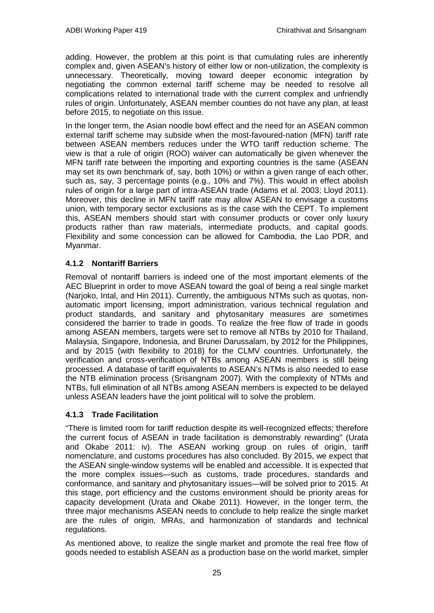adding. However, the problem at this point is that cumulating rules are inherently complex and, given ASEAN's history of either low or non-utilization, the complexity is unnecessary. Theoretically, moving toward deeper economic integration by negotiating the common external tariff scheme may be needed to resolve all complications related to international trade with the current complex and unfriendly rules of origin. Unfortunately, ASEAN member counties do not have any plan, at least before 2015, to negotiate on this issue.

In the longer term, the Asian noodle bowl effect and the need for an ASEAN common external tariff scheme may subside when the most-favoured-nation (MFN) tariff rate between ASEAN members reduces under the WTO tariff reduction scheme. The view is that a rule of origin (ROO) waiver can automatically be given whenever the MFN tariff rate between the importing and exporting countries is the same (ASEAN may set its own benchmark of, say, both 10%) or within a given range of each other, such as, say, 3 percentage points (e.g., 10% and 7%). This would in effect abolish rules of origin for a large part of intra-ASEAN trade (Adams et al. 2003; Lloyd 2011). Moreover, this decline in MFN tariff rate may allow ASEAN to envisage a customs union, with temporary sector exclusions as is the case with the CEPT. To implement this, ASEAN members should start with consumer products or cover only luxury products rather than raw materials, intermediate products, and capital goods. Flexibility and some concession can be allowed for Cambodia, the Lao PDR, and Myanmar.

#### **4.1.2 Nontariff Barriers**

Removal of nontariff barriers is indeed one of the most important elements of the AEC Blueprint in order to move ASEAN toward the goal of being a real single market (Narjoko, Intal, and Hin 2011). Currently, the ambiguous NTMs such as quotas, nonautomatic import licensing, import administration, various technical regulation and product standards, and sanitary and phytosanitary measures are sometimes considered the barrier to trade in goods. To realize the free flow of trade in goods among ASEAN members, targets were set to remove all NTBs by 2010 for Thailand, Malaysia, Singapore, Indonesia, and Brunei Darussalam, by 2012 for the Philippines, and by 2015 (with flexibility to 2018) for the CLMV countries. Unfortunately, the verification and cross-verification of NTBs among ASEAN members is still being processed. A database of tariff equivalents to ASEAN's NTMs is also needed to ease the NTB elimination process (Srisangnam 2007). With the complexity of NTMs and NTBs, full elimination of all NTBs among ASEAN members is expected to be delayed unless ASEAN leaders have the joint political will to solve the problem.

#### **4.1.3 Trade Facilitation**

"There is limited room for tariff reduction despite its well-recognized effects; therefore the current focus of ASEAN in trade facilitation is demonstrably rewarding" (Urata and Okabe 2011: iv). The ASEAN working group on rules of origin, tariff nomenclature, and customs procedures has also concluded. By 2015, we expect that the ASEAN single-window systems will be enabled and accessible. It is expected that the more complex issues—such as customs, trade procedures, standards and conformance, and sanitary and phytosanitary issues—will be solved prior to 2015. At this stage, port efficiency and the customs environment should be priority areas for capacity development (Urata and Okabe 2011). However, in the longer term, the three major mechanisms ASEAN needs to conclude to help realize the single market are the rules of origin, MRAs, and harmonization of standards and technical regulations.

As mentioned above, to realize the single market and promote the real free flow of goods needed to establish ASEAN as a production base on the world market, simpler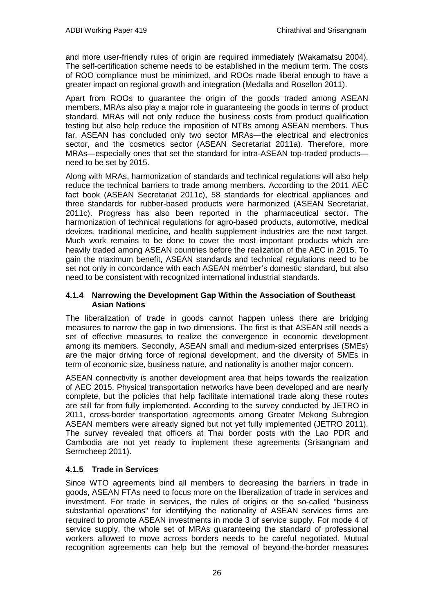and more user-friendly rules of origin are required immediately (Wakamatsu 2004). The self-certification scheme needs to be established in the medium term. The costs of ROO compliance must be minimized, and ROOs made liberal enough to have a greater impact on regional growth and integration (Medalla and Rosellon 2011).

Apart from ROOs to guarantee the origin of the goods traded among ASEAN members, MRAs also play a major role in guaranteeing the goods in terms of product standard. MRAs will not only reduce the business costs from product qualification testing but also help reduce the imposition of NTBs among ASEAN members. Thus far, ASEAN has concluded only two sector MRAs—the electrical and electronics sector, and the cosmetics sector (ASEAN Secretariat 2011a). Therefore, more MRAs—especially ones that set the standard for intra-ASEAN top-traded products need to be set by 2015.

Along with MRAs, harmonization of standards and technical regulations will also help reduce the technical barriers to trade among members. According to the 2011 AEC fact book (ASEAN Secretariat 2011c), 58 standards for electrical appliances and three standards for rubber-based products were harmonized (ASEAN Secretariat, 2011c). Progress has also been reported in the pharmaceutical sector. The harmonization of technical regulations for agro-based products, automotive, medical devices, traditional medicine, and health supplement industries are the next target. Much work remains to be done to cover the most important products which are heavily traded among ASEAN countries before the realization of the AEC in 2015. To gain the maximum benefit, ASEAN standards and technical regulations need to be set not only in concordance with each ASEAN member's domestic standard, but also need to be consistent with recognized international industrial standards.

#### **4.1.4 Narrowing the Development Gap Within the Association of Southeast Asian Nations**

The liberalization of trade in goods cannot happen unless there are bridging measures to narrow the gap in two dimensions. The first is that ASEAN still needs a set of effective measures to realize the convergence in economic development among its members. Secondly, ASEAN small and medium-sized enterprises (SMEs) are the major driving force of regional development, and the diversity of SMEs in term of economic size, business nature, and nationality is another major concern.

ASEAN connectivity is another development area that helps towards the realization of AEC 2015. Physical transportation networks have been developed and are nearly complete, but the policies that help facilitate international trade along these routes are still far from fully implemented. According to the survey conducted by JETRO in 2011, cross-border transportation agreements among Greater Mekong Subregion ASEAN members were already signed but not yet fully implemented (JETRO 2011). The survey revealed that officers at Thai border posts with the Lao PDR and Cambodia are not yet ready to implement these agreements (Srisangnam and Sermcheep 2011).

### **4.1.5 Trade in Services**

Since WTO agreements bind all members to decreasing the barriers in trade in goods, ASEAN FTAs need to focus more on the liberalization of trade in services and investment. For trade in services, the rules of origins or the so-called "business substantial operations" for identifying the nationality of ASEAN services firms are required to promote ASEAN investments in mode 3 of service supply. For mode 4 of service supply, the whole set of MRAs guaranteeing the standard of professional workers allowed to move across borders needs to be careful negotiated. Mutual recognition agreements can help but the removal of beyond-the-border measures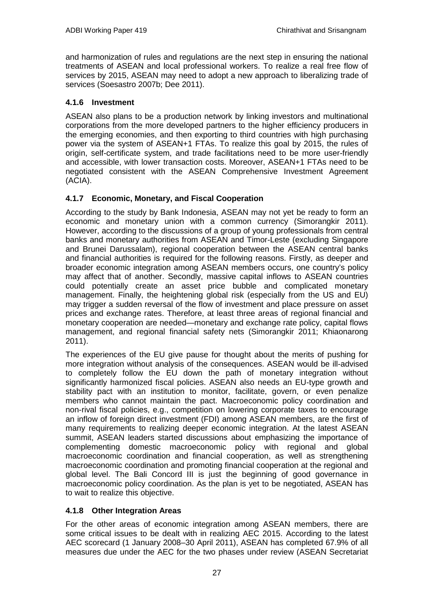and harmonization of rules and regulations are the next step in ensuring the national treatments of ASEAN and local professional workers. To realize a real free flow of services by 2015, ASEAN may need to adopt a new approach to liberalizing trade of services (Soesastro 2007b; Dee 2011).

#### **4.1.6 Investment**

ASEAN also plans to be a production network by linking investors and multinational corporations from the more developed partners to the higher efficiency producers in the emerging economies, and then exporting to third countries with high purchasing power via the system of ASEAN+1 FTAs. To realize this goal by 2015, the rules of origin, self-certificate system, and trade facilitations need to be more user-friendly and accessible, with lower transaction costs. Moreover, ASEAN+1 FTAs need to be negotiated consistent with the ASEAN Comprehensive Investment Agreement (ACIA).

#### **4.1.7 Economic, Monetary, and Fiscal Cooperation**

According to the study by Bank Indonesia, ASEAN may not yet be ready to form an economic and monetary union with a common currency (Simorangkir 2011). However, according to the discussions of a group of young professionals from central banks and monetary authorities from ASEAN and Timor-Leste (excluding Singapore and Brunei Darussalam), regional cooperation between the ASEAN central banks and financial authorities is required for the following reasons. Firstly, as deeper and broader economic integration among ASEAN members occurs, one country's policy may affect that of another. Secondly, massive capital inflows to ASEAN countries could potentially create an asset price bubble and complicated monetary management. Finally, the heightening global risk (especially from the US and EU) may trigger a sudden reversal of the flow of investment and place pressure on asset prices and exchange rates. Therefore, at least three areas of regional financial and monetary cooperation are needed—monetary and exchange rate policy, capital flows management, and regional financial safety nets (Simorangkir 2011; Khiaonarong 2011).

The experiences of the EU give pause for thought about the merits of pushing for more integration without analysis of the consequences. ASEAN would be ill-advised to completely follow the EU down the path of monetary integration without significantly harmonized fiscal policies. ASEAN also needs an EU-type growth and stability pact with an institution to monitor, facilitate, govern, or even penalize members who cannot maintain the pact. Macroeconomic policy coordination and non-rival fiscal policies, e.g., competition on lowering corporate taxes to encourage an inflow of foreign direct investment (FDI) among ASEAN members, are the first of many requirements to realizing deeper economic integration. At the latest ASEAN summit, ASEAN leaders started discussions about emphasizing the importance of complementing domestic macroeconomic policy with regional and global macroeconomic coordination and financial cooperation, as well as strengthening macroeconomic coordination and promoting financial cooperation at the regional and global level. The Bali Concord III is just the beginning of good governance in macroeconomic policy coordination. As the plan is yet to be negotiated, ASEAN has to wait to realize this objective.

#### **4.1.8 Other Integration Areas**

For the other areas of economic integration among ASEAN members, there are some critical issues to be dealt with in realizing AEC 2015. According to the latest AEC scorecard (1 January 2008–30 April 2011), ASEAN has completed 67.9% of all measures due under the AEC for the two phases under review (ASEAN Secretariat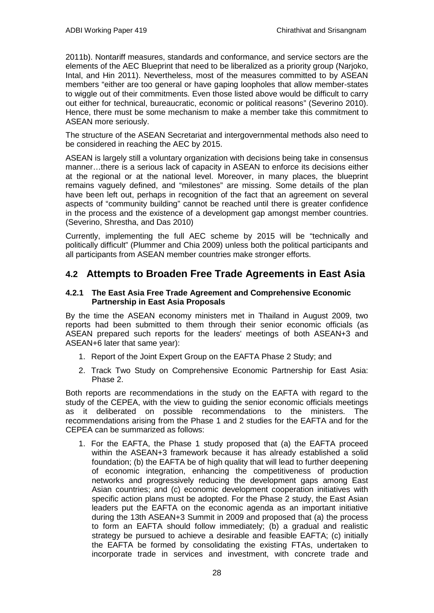2011b). Nontariff measures, standards and conformance, and service sectors are the elements of the AEC Blueprint that need to be liberalized as a priority group (Narjoko, Intal, and Hin 2011). Nevertheless, most of the measures committed to by ASEAN members "either are too general or have gaping loopholes that allow member-states to wiggle out of their commitments. Even those listed above would be difficult to carry out either for technical, bureaucratic, economic or political reasons" (Severino 2010). Hence, there must be some mechanism to make a member take this commitment to ASEAN more seriously.

The structure of the ASEAN Secretariat and intergovernmental methods also need to be considered in reaching the AEC by 2015.

ASEAN is largely still a voluntary organization with decisions being take in consensus manner…there is a serious lack of capacity in ASEAN to enforce its decisions either at the regional or at the national level. Moreover, in many places, the blueprint remains vaguely defined, and "milestones" are missing. Some details of the plan have been left out, perhaps in recognition of the fact that an agreement on several aspects of "community building" cannot be reached until there is greater confidence in the process and the existence of a development gap amongst member countries. (Severino, Shrestha, and Das 2010)

<span id="page-29-0"></span>Currently, implementing the full AEC scheme by 2015 will be "technically and politically difficult" (Plummer and Chia 2009) unless both the political participants and all participants from ASEAN member countries make stronger efforts.

### **4.2 Attempts to Broaden Free Trade Agreements in East Asia**

#### **4.2.1 The East Asia Free Trade Agreement and Comprehensive Economic Partnership in East Asia Proposals**

By the time the ASEAN economy ministers met in Thailand in August 2009, two reports had been submitted to them through their senior economic officials (as ASEAN prepared such reports for the leaders' meetings of both ASEAN+3 and ASEAN+6 later that same year):

- 1. Report of the Joint Expert Group on the EAFTA Phase 2 Study; and
- 2. Track Two Study on Comprehensive Economic Partnership for East Asia: Phase 2.

Both reports are recommendations in the study on the EAFTA with regard to the study of the CEPEA, with the view to guiding the senior economic officials meetings as it deliberated on possible recommendations to the ministers. The recommendations arising from the Phase 1 and 2 studies for the EAFTA and for the CEPEA can be summarized as follows:

1. For the EAFTA, the Phase 1 study proposed that (a) the EAFTA proceed within the ASEAN+3 framework because it has already established a solid foundation; (b) the EAFTA be of high quality that will lead to further deepening of economic integration, enhancing the competitiveness of production networks and progressively reducing the development gaps among East Asian countries; and (c) economic development cooperation initiatives with specific action plans must be adopted. For the Phase 2 study, the East Asian leaders put the EAFTA on the economic agenda as an important initiative during the 13th ASEAN+3 Summit in 2009 and proposed that (a) the process to form an EAFTA should follow immediately; (b) a gradual and realistic strategy be pursued to achieve a desirable and feasible EAFTA; (c) initially the EAFTA be formed by consolidating the existing FTAs, undertaken to incorporate trade in services and investment, with concrete trade and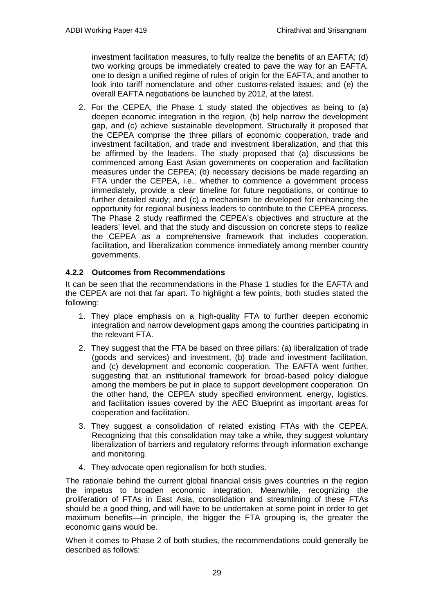investment facilitation measures, to fully realize the benefits of an EAFTA; (d) two working groups be immediately created to pave the way for an EAFTA, one to design a unified regime of rules of origin for the EAFTA, and another to look into tariff nomenclature and other customs-related issues; and (e) the overall EAFTA negotiations be launched by 2012, at the latest.

2. For the CEPEA, the Phase 1 study stated the objectives as being to (a) deepen economic integration in the region, (b) help narrow the development gap, and (c) achieve sustainable development. Structurally it proposed that the CEPEA comprise the three pillars of economic cooperation, trade and investment facilitation, and trade and investment liberalization, and that this be affirmed by the leaders. The study proposed that (a) discussions be commenced among East Asian governments on cooperation and facilitation measures under the CEPEA; (b) necessary decisions be made regarding an FTA under the CEPEA, i.e., whether to commence a government process immediately, provide a clear timeline for future negotiations, or continue to further detailed study; and (c) a mechanism be developed for enhancing the opportunity for regional business leaders to contribute to the CEPEA process. The Phase 2 study reaffirmed the CEPEA's objectives and structure at the leaders' level, and that the study and discussion on concrete steps to realize the CEPEA as a comprehensive framework that includes cooperation, facilitation, and liberalization commence immediately among member country governments.

### **4.2.2 Outcomes from Recommendations**

It can be seen that the recommendations in the Phase 1 studies for the EAFTA and the CEPEA are not that far apart. To highlight a few points, both studies stated the following:

- 1. They place emphasis on a high-quality FTA to further deepen economic integration and narrow development gaps among the countries participating in the relevant FTA.
- 2. They suggest that the FTA be based on three pillars: (a) liberalization of trade (goods and services) and investment, (b) trade and investment facilitation, and (c) development and economic cooperation. The EAFTA went further, suggesting that an institutional framework for broad-based policy dialogue among the members be put in place to support development cooperation. On the other hand, the CEPEA study specified environment, energy, logistics, and facilitation issues covered by the AEC Blueprint as important areas for cooperation and facilitation.
- 3. They suggest a consolidation of related existing FTAs with the CEPEA. Recognizing that this consolidation may take a while, they suggest voluntary liberalization of barriers and regulatory reforms through information exchange and monitoring.
- 4. They advocate open regionalism for both studies.

The rationale behind the current global financial crisis gives countries in the region the impetus to broaden economic integration. Meanwhile, recognizing the proliferation of FTAs in East Asia, consolidation and streamlining of these FTAs should be a good thing, and will have to be undertaken at some point in order to get maximum benefits—in principle, the bigger the FTA grouping is, the greater the economic gains would be.

When it comes to Phase 2 of both studies, the recommendations could generally be described as follows: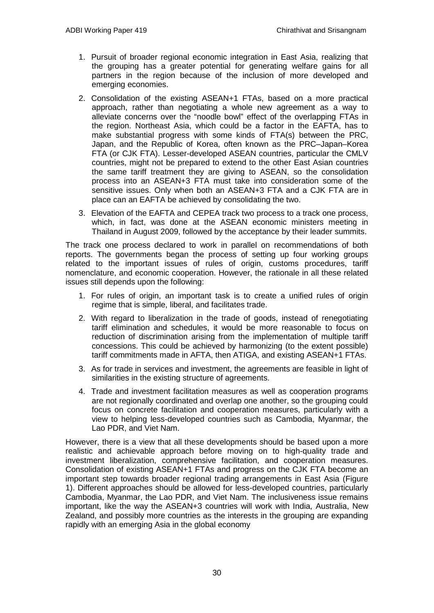- 1. Pursuit of broader regional economic integration in East Asia, realizing that the grouping has a greater potential for generating welfare gains for all partners in the region because of the inclusion of more developed and emerging economies.
- 2. Consolidation of the existing ASEAN+1 FTAs, based on a more practical approach, rather than negotiating a whole new agreement as a way to alleviate concerns over the "noodle bowl" effect of the overlapping FTAs in the region. Northeast Asia, which could be a factor in the EAFTA, has to make substantial progress with some kinds of FTA(s) between the PRC, Japan, and the Republic of Korea, often known as the PRC–Japan–Korea FTA (or CJK FTA). Lesser-developed ASEAN countries, particular the CMLV countries, might not be prepared to extend to the other East Asian countries the same tariff treatment they are giving to ASEAN, so the consolidation process into an ASEAN+3 FTA must take into consideration some of the sensitive issues. Only when both an ASEAN+3 FTA and a CJK FTA are in place can an EAFTA be achieved by consolidating the two.
- 3. Elevation of the EAFTA and CEPEA track two process to a track one process, which, in fact, was done at the ASEAN economic ministers meeting in Thailand in August 2009, followed by the acceptance by their leader summits.

The track one process declared to work in parallel on recommendations of both reports. The governments began the process of setting up four working groups related to the important issues of rules of origin, customs procedures, tariff nomenclature, and economic cooperation. However, the rationale in all these related issues still depends upon the following:

- 1. For rules of origin, an important task is to create a unified rules of origin regime that is simple, liberal, and facilitates trade.
- 2. With regard to liberalization in the trade of goods, instead of renegotiating tariff elimination and schedules, it would be more reasonable to focus on reduction of discrimination arising from the implementation of multiple tariff concessions. This could be achieved by harmonizing (to the extent possible) tariff commitments made in AFTA, then ATIGA, and existing ASEAN+1 FTAs.
- 3. As for trade in services and investment, the agreements are feasible in light of similarities in the existing structure of agreements.
- 4. Trade and investment facilitation measures as well as cooperation programs are not regionally coordinated and overlap one another, so the grouping could focus on concrete facilitation and cooperation measures, particularly with a view to helping less-developed countries such as Cambodia, Myanmar, the Lao PDR, and Viet Nam.

However, there is a view that all these developments should be based upon a more realistic and achievable approach before moving on to high-quality trade and investment liberalization, comprehensive facilitation, and cooperation measures. Consolidation of existing ASEAN+1 FTAs and progress on the CJK FTA become an important step towards broader regional trading arrangements in East Asia (Figure 1). Different approaches should be allowed for less-developed countries, particularly Cambodia, Myanmar, the Lao PDR, and Viet Nam. The inclusiveness issue remains important, like the way the ASEAN+3 countries will work with India, Australia, New Zealand, and possibly more countries as the interests in the grouping are expanding rapidly with an emerging Asia in the global economy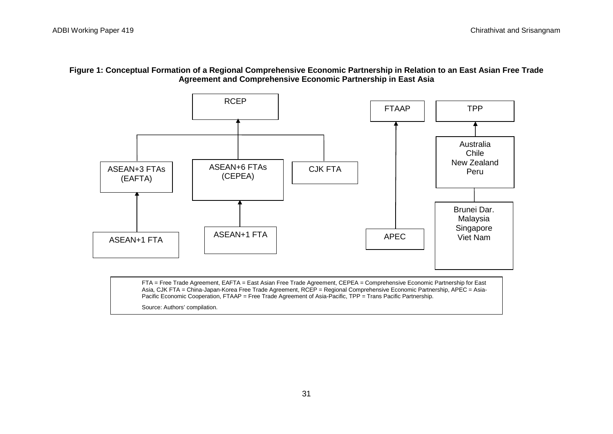



Asia, CJK FTA = China-Japan-Korea Free Trade Agreement, RCEP = Regional Comprehensive Economic Partnership, APEC = Asia-Pacific Economic Cooperation, FTAAP = Free Trade Agreement of Asia-Pacific, TPP = Trans Pacific Partnership.

Source: Authors' compilation.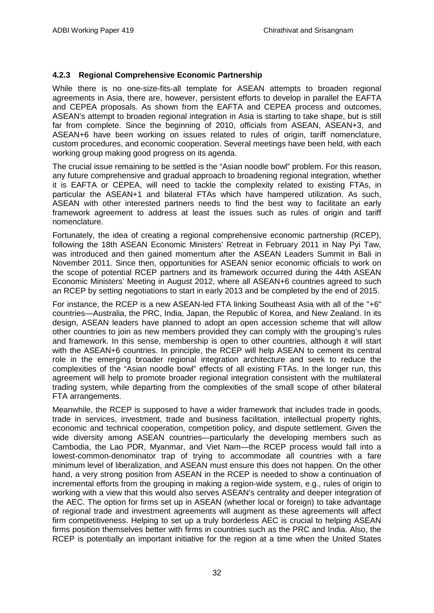#### **4.2.3 Regional Comprehensive Economic Partnership**

While there is no one-size-fits-all template for ASEAN attempts to broaden regional agreements in Asia, there are, however, persistent efforts to develop in parallel the EAFTA and CEPEA proposals. As shown from the EAFTA and CEPEA process and outcomes, ASEAN's attempt to broaden regional integration in Asia is starting to take shape, but is still far from complete. Since the beginning of 2010, officials from ASEAN, ASEAN+3, and ASEAN+6 have been working on issues related to rules of origin, tariff nomenclature, custom procedures, and economic cooperation. Several meetings have been held, with each working group making good progress on its agenda.

The crucial issue remaining to be settled is the "Asian noodle bowl" problem. For this reason, any future comprehensive and gradual approach to broadening regional integration, whether it is EAFTA or CEPEA, will need to tackle the complexity related to existing FTAs, in particular the ASEAN+1 and bilateral FTAs which have hampered utilization. As such, ASEAN with other interested partners needs to find the best way to facilitate an early framework agreement to address at least the issues such as rules of origin and tariff nomenclature.

Fortunately, the idea of creating a regional comprehensive economic partnership (RCEP), following the 18th ASEAN Economic Ministers' Retreat in February 2011 in Nay Pyi Taw, was introduced and then gained momentum after the ASEAN Leaders Summit in Bali in November 2011. Since then, opportunities for ASEAN senior economic officials to work on the scope of potential RCEP partners and its framework occurred during the 44th ASEAN Economic Ministers' Meeting in August 2012, where all ASEAN+6 countries agreed to such an RCEP by setting negotiations to start in early 2013 and be completed by the end of 2015.

For instance, the RCEP is a new ASEAN-led FTA linking Southeast Asia with all of the "+6" countries—Australia, the PRC, India, Japan, the Republic of Korea, and New Zealand. In its design, ASEAN leaders have planned to adopt an open accession scheme that will allow other countries to join as new members provided they can comply with the grouping's rules and framework. In this sense, membership is open to other countries, although it will start with the ASEAN+6 countries. In principle, the RCEP will help ASEAN to cement its central role in the emerging broader regional integration architecture and seek to reduce the complexities of the "Asian noodle bowl" effects of all existing FTAs. In the longer run, this agreement will help to promote broader regional integration consistent with the multilateral trading system, while departing from the complexities of the small scope of other bilateral FTA arrangements.

Meanwhile, the RCEP is supposed to have a wider framework that includes trade in goods, trade in services, investment, trade and business facilitation, intellectual property rights, economic and technical cooperation, competition policy, and dispute settlement. Given the wide diversity among ASEAN countries—particularly the developing members such as Cambodia, the Lao PDR, Myanmar, and Viet Nam—the RCEP process would fall into a lowest-common-denominator trap of trying to accommodate all countries with a fare minimum level of liberalization, and ASEAN must ensure this does not happen. On the other hand, a very strong position from ASEAN in the RCEP is needed to show a continuation of incremental efforts from the grouping in making a region-wide system, e.g., rules of origin to working with a view that this would also serves ASEAN's centrality and deeper integration of the AEC. The option for firms set up in ASEAN (whether local or foreign) to take advantage of regional trade and investment agreements will augment as these agreements will affect firm competitiveness. Helping to set up a truly borderless AEC is crucial to helping ASEAN firms position themselves better with firms in countries such as the PRC and India. Also, the RCEP is potentially an important initiative for the region at a time when the United States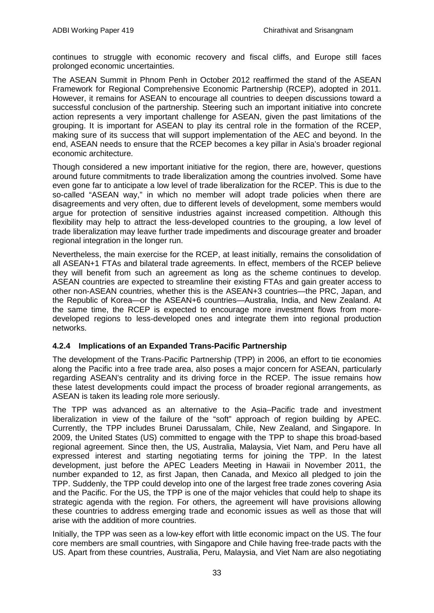continues to struggle with economic recovery and fiscal cliffs, and Europe still faces prolonged economic uncertainties.

The ASEAN Summit in Phnom Penh in October 2012 reaffirmed the stand of the ASEAN Framework for Regional Comprehensive Economic Partnership (RCEP), adopted in 2011. However, it remains for ASEAN to encourage all countries to deepen discussions toward a successful conclusion of the partnership. Steering such an important initiative into concrete action represents a very important challenge for ASEAN, given the past limitations of the grouping. It is important for ASEAN to play its central role in the formation of the RCEP, making sure of its success that will support implementation of the AEC and beyond. In the end, ASEAN needs to ensure that the RCEP becomes a key pillar in Asia's broader regional economic architecture.

Though considered a new important initiative for the region, there are, however, questions around future commitments to trade liberalization among the countries involved. Some have even gone far to anticipate a low level of trade liberalization for the RCEP. This is due to the so-called "ASEAN way," in which no member will adopt trade policies when there are disagreements and very often, due to different levels of development, some members would argue for protection of sensitive industries against increased competition. Although this flexibility may help to attract the less-developed countries to the grouping, a low level of trade liberalization may leave further trade impediments and discourage greater and broader regional integration in the longer run.

Nevertheless, the main exercise for the RCEP, at least initially, remains the consolidation of all ASEAN+1 FTAs and bilateral trade agreements. In effect, members of the RCEP believe they will benefit from such an agreement as long as the scheme continues to develop. ASEAN countries are expected to streamline their existing FTAs and gain greater access to other non-ASEAN countries, whether this is the ASEAN+3 countries—the PRC, Japan, and the Republic of Korea—or the ASEAN+6 countries—Australia, India, and New Zealand. At the same time, the RCEP is expected to encourage more investment flows from moredeveloped regions to less-developed ones and integrate them into regional production networks.

#### **4.2.4 Implications of an Expanded Trans-Pacific Partnership**

The development of the Trans-Pacific Partnership (TPP) in 2006, an effort to tie economies along the Pacific into a free trade area, also poses a major concern for ASEAN, particularly regarding ASEAN's centrality and its driving force in the RCEP. The issue remains how these latest developments could impact the process of broader regional arrangements, as ASEAN is taken its leading role more seriously.

The TPP was advanced as an alternative to the Asia–Pacific trade and investment liberalization in view of the failure of the "soft" approach of region building by APEC. Currently, the TPP includes Brunei Darussalam, Chile, New Zealand, and Singapore. In 2009, the United States (US) committed to engage with the TPP to shape this broad-based regional agreement. Since then, the US, Australia, Malaysia, Viet Nam, and Peru have all expressed interest and starting negotiating terms for joining the TPP. In the latest development, just before the APEC Leaders Meeting in Hawaii in November 2011, the number expanded to 12, as first Japan, then Canada, and Mexico all pledged to join the TPP. Suddenly, the TPP could develop into one of the largest free trade zones covering Asia and the Pacific. For the US, the TPP is one of the major vehicles that could help to shape its strategic agenda with the region. For others, the agreement will have provisions allowing these countries to address emerging trade and economic issues as well as those that will arise with the addition of more countries.

Initially, the TPP was seen as a low-key effort with little economic impact on the US. The four core members are small countries, with Singapore and Chile having free-trade pacts with the US. Apart from these countries, Australia, Peru, Malaysia, and Viet Nam are also negotiating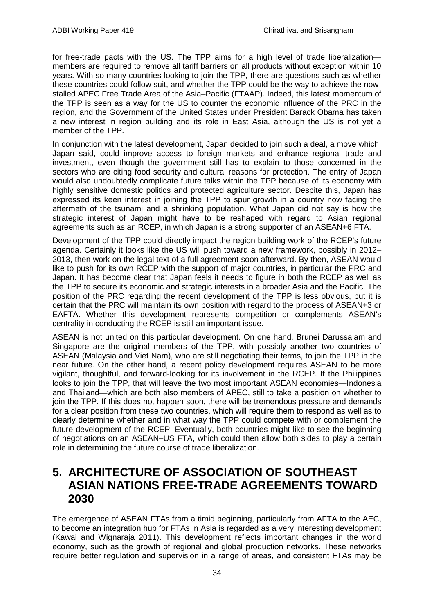for free-trade pacts with the US. The TPP aims for a high level of trade liberalization members are required to remove all tariff barriers on all products without exception within 10 years. With so many countries looking to join the TPP, there are questions such as whether these countries could follow suit, and whether the TPP could be the way to achieve the nowstalled APEC Free Trade Area of the Asia–Pacific (FTAAP). Indeed, this latest momentum of the TPP is seen as a way for the US to counter the economic influence of the PRC in the region, and the Government of the United States under President Barack Obama has taken a new interest in region building and its role in East Asia, although the US is not yet a member of the TPP.

In conjunction with the latest development, Japan decided to join such a deal, a move which, Japan said, could improve access to foreign markets and enhance regional trade and investment, even though the government still has to explain to those concerned in the sectors who are citing food security and cultural reasons for protection. The entry of Japan would also undoubtedly complicate future talks within the TPP because of its economy with highly sensitive domestic politics and protected agriculture sector. Despite this, Japan has expressed its keen interest in joining the TPP to spur growth in a country now facing the aftermath of the tsunami and a shrinking population. What Japan did not say is how the strategic interest of Japan might have to be reshaped with regard to Asian regional agreements such as an RCEP, in which Japan is a strong supporter of an ASEAN+6 FTA.

Development of the TPP could directly impact the region building work of the RCEP's future agenda. Certainly it looks like the US will push toward a new framework, possibly in 2012– 2013, then work on the legal text of a full agreement soon afterward. By then, ASEAN would like to push for its own RCEP with the support of major countries, in particular the PRC and Japan. It has become clear that Japan feels it needs to figure in both the RCEP as well as the TPP to secure its economic and strategic interests in a broader Asia and the Pacific. The position of the PRC regarding the recent development of the TPP is less obvious, but it is certain that the PRC will maintain its own position with regard to the process of ASEAN+3 or EAFTA. Whether this development represents competition or complements ASEAN's centrality in conducting the RCEP is still an important issue.

ASEAN is not united on this particular development. On one hand, Brunei Darussalam and Singapore are the original members of the TPP, with possibly another two countries of ASEAN (Malaysia and Viet Nam), who are still negotiating their terms, to join the TPP in the near future. On the other hand, a recent policy development requires ASEAN to be more vigilant, thoughtful, and forward-looking for its involvement in the RCEP. If the Philippines looks to join the TPP, that will leave the two most important ASEAN economies—Indonesia and Thailand—which are both also members of APEC, still to take a position on whether to join the TPP. If this does not happen soon, there will be tremendous pressure and demands for a clear position from these two countries, which will require them to respond as well as to clearly determine whether and in what way the TPP could compete with or complement the future development of the RCEP. Eventually, both countries might like to see the beginning of negotiations on an ASEAN–US FTA, which could then allow both sides to play a certain role in determining the future course of trade liberalization.

## <span id="page-35-0"></span>**5. ARCHITECTURE OF ASSOCIATION OF SOUTHEAST ASIAN NATIONS FREE-TRADE AGREEMENTS TOWARD 2030**

The emergence of ASEAN FTAs from a timid beginning, particularly from AFTA to the AEC, to become an integration hub for FTAs in Asia is regarded as a very interesting development (Kawai and Wignaraja 2011). This development reflects important changes in the world economy, such as the growth of regional and global production networks. These networks require better regulation and supervision in a range of areas, and consistent FTAs may be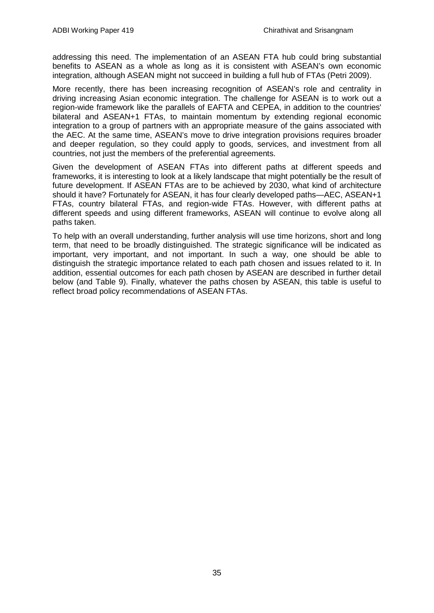addressing this need. The implementation of an ASEAN FTA hub could bring substantial benefits to ASEAN as a whole as long as it is consistent with ASEAN's own economic integration, although ASEAN might not succeed in building a full hub of FTAs (Petri 2009).

More recently, there has been increasing recognition of ASEAN's role and centrality in driving increasing Asian economic integration. The challenge for ASEAN is to work out a region-wide framework like the parallels of EAFTA and CEPEA, in addition to the countries' bilateral and ASEAN+1 FTAs, to maintain momentum by extending regional economic integration to a group of partners with an appropriate measure of the gains associated with the AEC. At the same time, ASEAN's move to drive integration provisions requires broader and deeper regulation, so they could apply to goods, services, and investment from all countries, not just the members of the preferential agreements.

Given the development of ASEAN FTAs into different paths at different speeds and frameworks, it is interesting to look at a likely landscape that might potentially be the result of future development. If ASEAN FTAs are to be achieved by 2030, what kind of architecture should it have? Fortunately for ASEAN, it has four clearly developed paths—AEC, ASEAN+1 FTAs, country bilateral FTAs, and region-wide FTAs. However, with different paths at different speeds and using different frameworks, ASEAN will continue to evolve along all paths taken.

To help with an overall understanding, further analysis will use time horizons, short and long term, that need to be broadly distinguished. The strategic significance will be indicated as important, very important, and not important. In such a way, one should be able to distinguish the strategic importance related to each path chosen and issues related to it. In addition, essential outcomes for each path chosen by ASEAN are described in further detail below (and Table 9). Finally, whatever the paths chosen by ASEAN, this table is useful to reflect broad policy recommendations of ASEAN FTAs.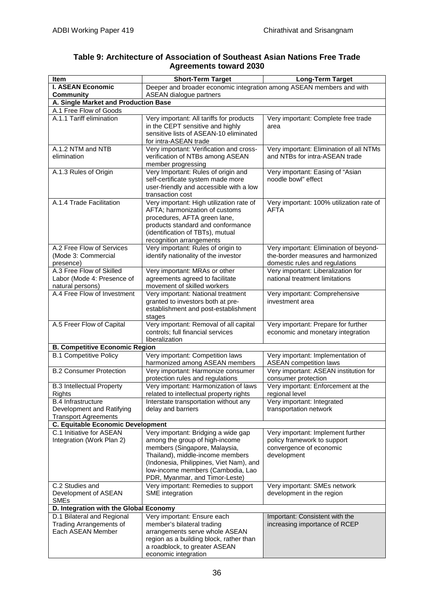| Table 9: Architecture of Association of Southeast Asian Nations Free Trade |  |
|----------------------------------------------------------------------------|--|
| <b>Agreements toward 2030</b>                                              |  |

| <b>Item</b>                                                                           | <b>Short-Term Target</b>                                                                                                                                                                                                                                     | Long-Term Target                                                                                               |  |  |  |
|---------------------------------------------------------------------------------------|--------------------------------------------------------------------------------------------------------------------------------------------------------------------------------------------------------------------------------------------------------------|----------------------------------------------------------------------------------------------------------------|--|--|--|
| <b>I. ASEAN Economic</b>                                                              | Deeper and broader economic integration among ASEAN members and with                                                                                                                                                                                         |                                                                                                                |  |  |  |
| <b>Community</b>                                                                      | <b>ASEAN dialogue partners</b>                                                                                                                                                                                                                               |                                                                                                                |  |  |  |
| A. Single Market and Production Base                                                  |                                                                                                                                                                                                                                                              |                                                                                                                |  |  |  |
| A.1 Free Flow of Goods                                                                |                                                                                                                                                                                                                                                              |                                                                                                                |  |  |  |
| A.1.1 Tariff elimination                                                              | Very important: All tariffs for products<br>in the CEPT sensitive and highly<br>sensitive lists of ASEAN-10 eliminated<br>for intra-ASEAN trade                                                                                                              | Very important: Complete free trade<br>area                                                                    |  |  |  |
| A.1.2 NTM and NTB<br>elimination                                                      | Very important: Verification and cross-<br>verification of NTBs among ASEAN<br>member progressing                                                                                                                                                            | Very important: Elimination of all NTMs<br>and NTBs for intra-ASEAN trade                                      |  |  |  |
| A.1.3 Rules of Origin                                                                 | Very Important: Rules of origin and<br>self-certificate system made more<br>user-friendly and accessible with a low<br>transaction cost                                                                                                                      | Very important: Easing of "Asian<br>noodle bowl" effect                                                        |  |  |  |
| A.1.4 Trade Facilitation                                                              | Very important: High utilization rate of<br>AFTA; harmonization of customs<br>procedures, AFTA green lane,<br>products standard and conformance<br>(identification of TBTs), mutual<br>recognition arrangements                                              | Very important: 100% utilization rate of<br>AFTA                                                               |  |  |  |
| A.2 Free Flow of Services<br>(Mode 3: Commercial<br>presence)                         | Very important: Rules of origin to<br>identify nationality of the investor                                                                                                                                                                                   | Very important: Elimination of beyond-<br>the-border measures and harmonized<br>domestic rules and regulations |  |  |  |
| A.3 Free Flow of Skilled<br>Labor (Mode 4: Presence of<br>natural persons)            | Very important: MRAs or other<br>agreements agreed to facilitate<br>movement of skilled workers                                                                                                                                                              | Very important: Liberalization for<br>national treatment limitations                                           |  |  |  |
| A.4 Free Flow of Investment                                                           | Very important: National treatment<br>granted to investors both at pre-<br>establishment and post-establishment<br>stages                                                                                                                                    | Very important: Comprehensive<br>investment area                                                               |  |  |  |
| A.5 Freer Flow of Capital                                                             | Very important: Removal of all capital<br>controls; full financial services<br>liberalization                                                                                                                                                                | Very important: Prepare for further<br>economic and monetary integration                                       |  |  |  |
| <b>B. Competitive Economic Region</b>                                                 |                                                                                                                                                                                                                                                              |                                                                                                                |  |  |  |
| <b>B.1 Competitive Policy</b>                                                         | Very important: Competition laws<br>harmonized among ASEAN members                                                                                                                                                                                           | Very important: Implementation of<br><b>ASEAN</b> competition laws                                             |  |  |  |
| <b>B.2 Consumer Protection</b>                                                        | Very important: Harmonize consumer<br>protection rules and regulations                                                                                                                                                                                       | Very important: ASEAN institution for<br>consumer protection                                                   |  |  |  |
| <b>B.3 Intellectual Property</b><br>Rights                                            | Very important: Harmonization of laws<br>related to intellectual property rights                                                                                                                                                                             | Very important: Enforcement at the<br>regional level                                                           |  |  |  |
| <b>B.4 Infrastructure</b><br>Development and Ratifying<br><b>Transport Agreements</b> | Interstate transportation without any<br>delay and barriers                                                                                                                                                                                                  | Very important: Integrated<br>transportation network                                                           |  |  |  |
| <b>C. Equitable Economic Development</b>                                              |                                                                                                                                                                                                                                                              |                                                                                                                |  |  |  |
| C.1 Initiative for ASEAN<br>Integration (Work Plan 2)                                 | Very important: Bridging a wide gap<br>among the group of high-income<br>members (Singapore, Malaysia,<br>Thailand), middle-income members<br>(Indonesia, Philippines, Viet Nam), and<br>low-income members (Cambodia, Lao<br>PDR, Myanmar, and Timor-Leste) | Very important: Implement further<br>policy framework to support<br>convergence of economic<br>development     |  |  |  |
| C.2 Studies and<br>Development of ASEAN<br><b>SMEs</b>                                | Very important: Remedies to support<br>SME integration                                                                                                                                                                                                       | Very important: SMEs network<br>development in the region                                                      |  |  |  |
| D. Integration with the Global Economy                                                |                                                                                                                                                                                                                                                              |                                                                                                                |  |  |  |
| D.1 Bilateral and Regional<br><b>Trading Arrangements of</b><br>Each ASEAN Member     | Very important: Ensure each<br>member's bilateral trading<br>arrangements serve whole ASEAN<br>region as a building block, rather than<br>a roadblock, to greater ASEAN<br>economic integration                                                              | Important: Consistent with the<br>increasing importance of RCEP                                                |  |  |  |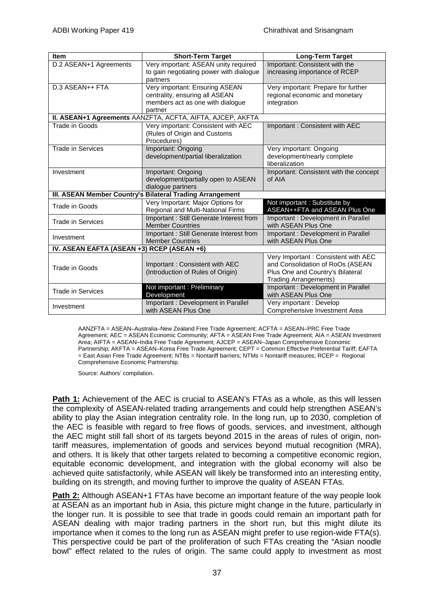| <b>Item</b>                                | <b>Short-Term Target</b>                                                                                        | Long-Term Target                                                                                                                            |  |  |
|--------------------------------------------|-----------------------------------------------------------------------------------------------------------------|---------------------------------------------------------------------------------------------------------------------------------------------|--|--|
| D.2 ASEAN+1 Agreements                     | Very important: ASEAN unity required<br>to gain negotiating power with dialogue                                 | Important: Consistent with the<br>increasing importance of RCEP                                                                             |  |  |
|                                            | partners                                                                                                        |                                                                                                                                             |  |  |
| D.3 ASEAN++ FTA                            | Very important: Ensuring ASEAN<br>centrality, ensuring all ASEAN<br>members act as one with dialogue<br>partner | Very important: Prepare for further<br>regional economic and monetary<br>integration                                                        |  |  |
|                                            | II. ASEAN+1 Agreements AANZFTA, ACFTA, AIFTA, AJCEP, AKFTA                                                      |                                                                                                                                             |  |  |
| Trade in Goods                             | Very important: Consistent with AEC<br>(Rules of Origin and Customs<br>Procedures)                              | Important: Consistent with AEC                                                                                                              |  |  |
| <b>Trade in Services</b>                   | Important: Ongoing<br>development/partial liberalization                                                        | Very important: Ongoing<br>development/nearly complete<br>liberalization                                                                    |  |  |
| Investment                                 | Important: Ongoing<br>development/partially open to ASEAN<br>dialogue partners                                  | Important: Consistent with the concept<br>of AIA                                                                                            |  |  |
|                                            | III. ASEAN Member Country's Bilateral Trading Arrangement                                                       |                                                                                                                                             |  |  |
| Trade in Goods                             | Very Important: Major Options for<br>Regional and Multi-National Firms                                          | Not important: Substitute by<br>ASEAN++FTA and ASEAN Plus One                                                                               |  |  |
| <b>Trade in Services</b>                   | Important: Still Generate Interest from<br><b>Member Countries</b>                                              | Important: Development in Parallel<br>with ASEAN Plus One                                                                                   |  |  |
| Investment                                 | Important : Still Generate Interest from<br><b>Member Countries</b>                                             | Important: Development in Parallel<br>with ASEAN Plus One                                                                                   |  |  |
| IV. ASEAN EAFTA (ASEAN +3) RCEP (ASEAN +6) |                                                                                                                 |                                                                                                                                             |  |  |
| Trade in Goods                             | Important: Consistent with AEC<br>(Introduction of Rules of Origin)                                             | Very Important: Consistent with AEC<br>and Consolidation of RoOs (ASEAN<br>Plus One and Country's Bilateral<br><b>Trading Arrangements)</b> |  |  |
| <b>Trade in Services</b>                   | Not important: Preliminary<br>Development                                                                       | Important: Development in Parallel<br>with ASEAN Plus One                                                                                   |  |  |
| Investment                                 | Important: Development in Parallel<br>with ASEAN Plus One                                                       | Very important : Develop<br>Comprehensive Investment Area                                                                                   |  |  |

AANZFTA = ASEAN–Australia–New Zealand Free Trade Agreement; ACFTA = ASEAN–PRC Free Trade Agreement; AEC = ASEAN Economic Community; AFTA = ASEAN Free Trade Agreement; AIA = ASEAN Investment Area; AIFTA = ASEAN–India Free Trade Agreement; AJCEP = ASEAN–Japan Comprehensive Economic Partnership; AKFTA = ASEAN–Korea Free Trade Agreement; CEPT = Common Effective Preferential Tariff; EAFTA = East Asian Free Trade Agreement; NTBs = Nontariff barriers; NTMs = Nontariff measures; RCEP = Regional Comprehensive Economic Partnership.

Source: Authors' compilation.

**Path 1:** Achievement of the AEC is crucial to ASEAN's FTAs as a whole, as this will lessen the complexity of ASEAN-related trading arrangements and could help strengthen ASEAN's ability to play the Asian integration centrality role. In the long run, up to 2030, completion of the AEC is feasible with regard to free flows of goods, services, and investment, although the AEC might still fall short of its targets beyond 2015 in the areas of rules of origin, nontariff measures, implementation of goods and services beyond mutual recognition (MRA), and others. It is likely that other targets related to becoming a competitive economic region, equitable economic development, and integration with the global economy will also be achieved quite satisfactorily, while ASEAN will likely be transformed into an interesting entity, building on its strength, and moving further to improve the quality of ASEAN FTAs.

**Path 2:** Although ASEAN+1 FTAs have become an important feature of the way people look at ASEAN as an important hub in Asia, this picture might change in the future, particularly in the longer run. It is possible to see that trade in goods could remain an important path for ASEAN dealing with major trading partners in the short run, but this might dilute its importance when it comes to the long run as ASEAN might prefer to use region-wide FTA(s). This perspective could be part of the proliferation of such FTAs creating the "Asian noodle bowl" effect related to the rules of origin. The same could apply to investment as most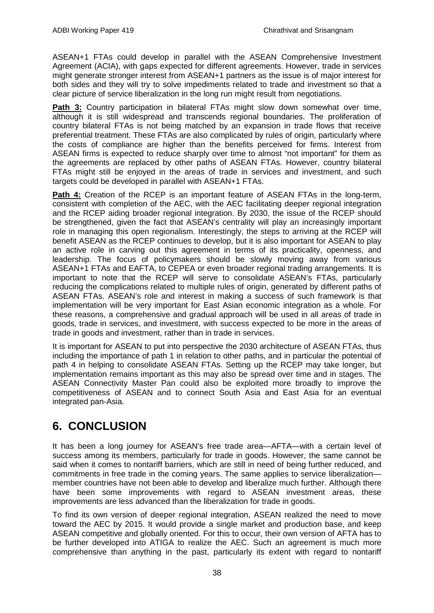ASEAN+1 FTAs could develop in parallel with the ASEAN Comprehensive Investment Agreement (ACIA), with gaps expected for different agreements. However, trade in services might generate stronger interest from ASEAN+1 partners as the issue is of major interest for both sides and they will try to solve impediments related to trade and investment so that a clear picture of service liberalization in the long run might result from negotiations.

**Path 3:** Country participation in bilateral FTAs might slow down somewhat over time, although it is still widespread and transcends regional boundaries. The proliferation of country bilateral FTAs is not being matched by an expansion in trade flows that receive preferential treatment. These FTAs are also complicated by rules of origin, particularly where the costs of compliance are higher than the benefits perceived for firms. Interest from ASEAN firms is expected to reduce sharply over time to almost "not important" for them as the agreements are replaced by other paths of ASEAN FTAs. However, country bilateral FTAs might still be enjoyed in the areas of trade in services and investment, and such targets could be developed in parallel with ASEAN+1 FTAs.

**Path 4:** Creation of the RCEP is an important feature of ASEAN FTAs in the long-term, consistent with completion of the AEC, with the AEC facilitating deeper regional integration and the RCEP aiding broader regional integration. By 2030, the issue of the RCEP should be strengthened, given the fact that ASEAN's centrality will play an increasingly important role in managing this open regionalism. Interestingly, the steps to arriving at the RCEP will benefit ASEAN as the RCEP continues to develop, but it is also important for ASEAN to play an active role in carving out this agreement in terms of its practicality, openness, and leadership. The focus of policymakers should be slowly moving away from various ASEAN+1 FTAs and EAFTA, to CEPEA or even broader regional trading arrangements. It is important to note that the RCEP will serve to consolidate ASEAN's FTAs, particularly reducing the complications related to multiple rules of origin, generated by different paths of ASEAN FTAs. ASEAN's role and interest in making a success of such framework is that implementation will be very important for East Asian economic integration as a whole. For these reasons, a comprehensive and gradual approach will be used in all areas of trade in goods, trade in services, and investment, with success expected to be more in the areas of trade in goods and investment, rather than in trade in services.

<span id="page-39-0"></span>It is important for ASEAN to put into perspective the 2030 architecture of ASEAN FTAs, thus including the importance of path 1 in relation to other paths, and in particular the potential of path 4 in helping to consolidate ASEAN FTAs. Setting up the RCEP may take longer, but implementation remains important as this may also be spread over time and in stages. The ASEAN Connectivity Master Pan could also be exploited more broadly to improve the competitiveness of ASEAN and to connect South Asia and East Asia for an eventual integrated pan-Asia.

## **6. CONCLUSION**

It has been a long journey for ASEAN's free trade area—AFTA—with a certain level of success among its members, particularly for trade in goods. However, the same cannot be said when it comes to nontariff barriers, which are still in need of being further reduced, and commitments in free trade in the coming years. The same applies to service liberalization member countries have not been able to develop and liberalize much further. Although there have been some improvements with regard to ASEAN investment areas, these improvements are less advanced than the liberalization for trade in goods.

To find its own version of deeper regional integration, ASEAN realized the need to move toward the AEC by 2015. It would provide a single market and production base, and keep ASEAN competitive and globally oriented. For this to occur, their own version of AFTA has to be further developed into ATIGA to realize the AEC. Such an agreement is much more comprehensive than anything in the past, particularly its extent with regard to nontariff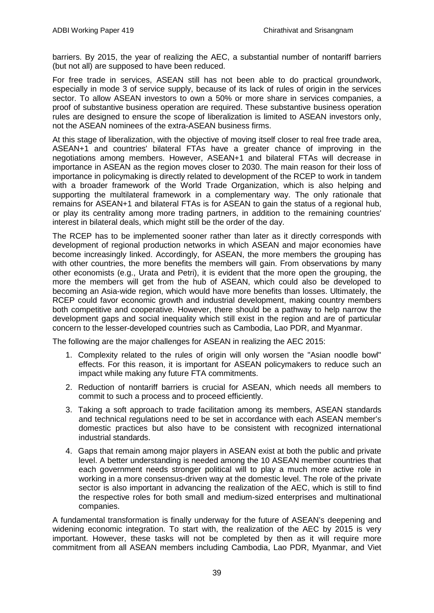barriers. By 2015, the year of realizing the AEC, a substantial number of nontariff barriers (but not all) are supposed to have been reduced.

For free trade in services, ASEAN still has not been able to do practical groundwork, especially in mode 3 of service supply, because of its lack of rules of origin in the services sector. To allow ASEAN investors to own a 50% or more share in services companies, a proof of substantive business operation are required. These substantive business operation rules are designed to ensure the scope of liberalization is limited to ASEAN investors only, not the ASEAN nominees of the extra-ASEAN business firms.

At this stage of liberalization, with the objective of moving itself closer to real free trade area, ASEAN+1 and countries' bilateral FTAs have a greater chance of improving in the negotiations among members. However, ASEAN+1 and bilateral FTAs will decrease in importance in ASEAN as the region moves closer to 2030. The main reason for their loss of importance in policymaking is directly related to development of the RCEP to work in tandem with a broader framework of the World Trade Organization, which is also helping and supporting the multilateral framework in a complementary way. The only rationale that remains for ASEAN+1 and bilateral FTAs is for ASEAN to gain the status of a regional hub, or play its centrality among more trading partners, in addition to the remaining countries' interest in bilateral deals, which might still be the order of the day.

The RCEP has to be implemented sooner rather than later as it directly corresponds with development of regional production networks in which ASEAN and major economies have become increasingly linked. Accordingly, for ASEAN, the more members the grouping has with other countries, the more benefits the members will gain. From observations by many other economists (e.g., Urata and Petri), it is evident that the more open the grouping, the more the members will get from the hub of ASEAN, which could also be developed to becoming an Asia-wide region, which would have more benefits than losses. Ultimately, the RCEP could favor economic growth and industrial development, making country members both competitive and cooperative. However, there should be a pathway to help narrow the development gaps and social inequality which still exist in the region and are of particular concern to the lesser-developed countries such as Cambodia, Lao PDR, and Myanmar.

The following are the major challenges for ASEAN in realizing the AEC 2015:

- 1. Complexity related to the rules of origin will only worsen the "Asian noodle bowl" effects. For this reason, it is important for ASEAN policymakers to reduce such an impact while making any future FTA commitments.
- 2. Reduction of nontariff barriers is crucial for ASEAN, which needs all members to commit to such a process and to proceed efficiently.
- 3. Taking a soft approach to trade facilitation among its members, ASEAN standards and technical regulations need to be set in accordance with each ASEAN member's domestic practices but also have to be consistent with recognized international industrial standards.
- 4. Gaps that remain among major players in ASEAN exist at both the public and private level. A better understanding is needed among the 10 ASEAN member countries that each government needs stronger political will to play a much more active role in working in a more consensus-driven way at the domestic level. The role of the private sector is also important in advancing the realization of the AEC, which is still to find the respective roles for both small and medium-sized enterprises and multinational companies.

A fundamental transformation is finally underway for the future of ASEAN's deepening and widening economic integration. To start with, the realization of the AEC by 2015 is very important. However, these tasks will not be completed by then as it will require more commitment from all ASEAN members including Cambodia, Lao PDR, Myanmar, and Viet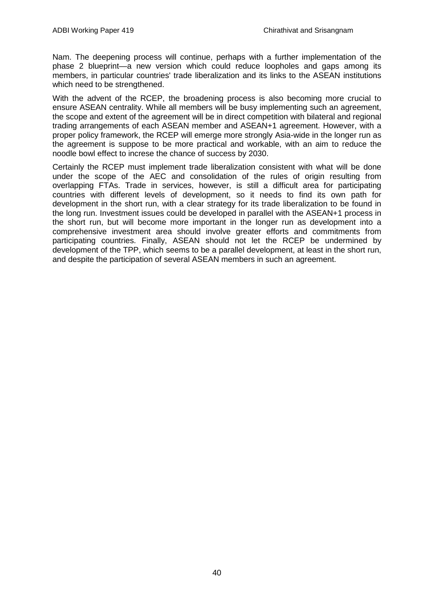Nam. The deepening process will continue, perhaps with a further implementation of the phase 2 blueprint—a new version which could reduce loopholes and gaps among its members, in particular countries' trade liberalization and its links to the ASEAN institutions which need to be strengthened.

With the advent of the RCEP, the broadening process is also becoming more crucial to ensure ASEAN centrality. While all members will be busy implementing such an agreement, the scope and extent of the agreement will be in direct competition with bilateral and regional trading arrangements of each ASEAN member and ASEAN+1 agreement. However, with a proper policy framework, the RCEP will emerge more strongly Asia-wide in the longer run as the agreement is suppose to be more practical and workable, with an aim to reduce the noodle bowl effect to increse the chance of success by 2030.

Certainly the RCEP must implement trade liberalization consistent with what will be done under the scope of the AEC and consolidation of the rules of origin resulting from overlapping FTAs. Trade in services, however, is still a difficult area for participating countries with different levels of development, so it needs to find its own path for development in the short run, with a clear strategy for its trade liberalization to be found in the long run. Investment issues could be developed in parallel with the ASEAN+1 process in the short run, but will become more important in the longer run as development into a comprehensive investment area should involve greater efforts and commitments from participating countries. Finally, ASEAN should not let the RCEP be undermined by development of the TPP, which seems to be a parallel development, at least in the short run, and despite the participation of several ASEAN members in such an agreement.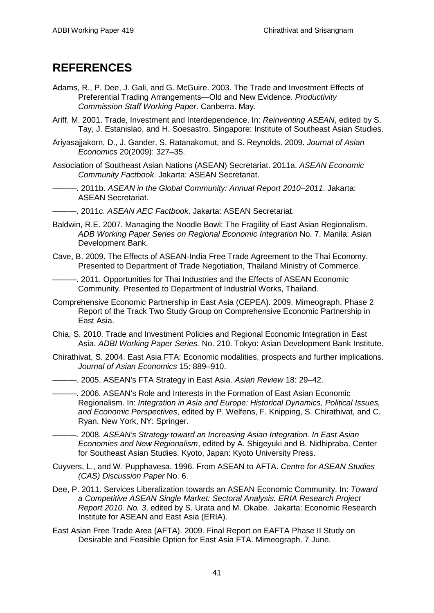## <span id="page-42-0"></span>**REFERENCES**

- Adams, R., P. Dee, J. Gali, and G. McGuire. 2003. The Trade and Investment Effects of Preferential Trading Arrangements—Old and New Evidence. *Productivity Commission Staff Working Paper*. Canberra. May.
- Ariff, M. 2001. Trade, Investment and Interdependence. In: *Reinventing ASEAN*, edited by S. Tay, J. Estanislao, and H. Soesastro. Singapore: Institute of Southeast Asian Studies.
- Ariyasajjakorn, D., J. Gander, S. Ratanakomut, and S. Reynolds. 2009. *Journal of Asian Economics* 20(2009): 327–35.
- Association of Southeast Asian Nations (ASEAN) Secretariat. 2011a. *ASEAN Economic Community Factbook*. Jakarta: ASEAN Secretariat.
- ———. 2011b. *ASEAN in the Global Community: Annual Report 2010–2011*. Jakarta: ASEAN Secretariat.
- ———. 2011c. *ASEAN AEC Factbook*. Jakarta: ASEAN Secretariat.
- Baldwin, R.E. 2007. Managing the Noodle Bowl: The Fragility of East Asian Regionalism. *ADB Working Paper Series on Regional Economic Integration* No. 7. Manila: Asian Development Bank.
- Cave, B. 2009. The Effects of ASEAN-India Free Trade Agreement to the Thai Economy. Presented to Department of Trade Negotiation, Thailand Ministry of Commerce.
	- -. 2011. Opportunities for Thai Industries and the Effects of ASEAN Economic Community. Presented to Department of Industrial Works, Thailand.
- Comprehensive Economic Partnership in East Asia (CEPEA). 2009. Mimeograph. Phase 2 Report of the Track Two Study Group on Comprehensive Economic Partnership in East Asia.
- Chia, S. 2010. Trade and Investment Policies and Regional Economic Integration in East Asia. *ADBI Working Paper Series.* No. 210. Tokyo: Asian Development Bank Institute.
- Chirathivat, S. 2004. East Asia FTA: Economic modalities, prospects and further implications. *Journal of Asian Economics* 15: 889–910.
- ———. 2005. ASEAN's FTA Strategy in East Asia. *Asian Review* 18: 29–42.
	- ———. 2006. ASEAN's Role and Interests in the Formation of East Asian Economic Regionalism. In: *Integration in Asia and Europe: Historical Dynamics, Political Issues, and Economic Perspectives*, edited by P. Welfens, F. Knipping, S. Chirathivat, and C. Ryan. New York, NY: Springer.
- ———. 2008. *ASEAN's Strategy toward an Increasing Asian Integration. In East Asian Economies and New Regionalism*, edited by A. Shigeyuki and B. Nidhipraba. Center for Southeast Asian Studies. Kyoto, Japan: Kyoto University Press.
- Cuyvers, L., and W. Pupphavesa. 1996. From ASEAN to AFTA. *Centre for ASEAN Studies (CAS) Discussion Paper* No. 6.
- Dee, P. 2011. Services Liberalization towards an ASEAN Economic Community. In: *Toward a Competitive ASEAN Single Market: Sectoral Analysis. ERIA Research Project Report 2010. No. 3*, edited by S. Urata and M. Okabe. Jakarta: Economic Research Institute for ASEAN and East Asia (ERIA).
- East Asian Free Trade Area (AFTA). 2009. Final Report on EAFTA Phase II Study on Desirable and Feasible Option for East Asia FTA. Mimeograph. 7 June.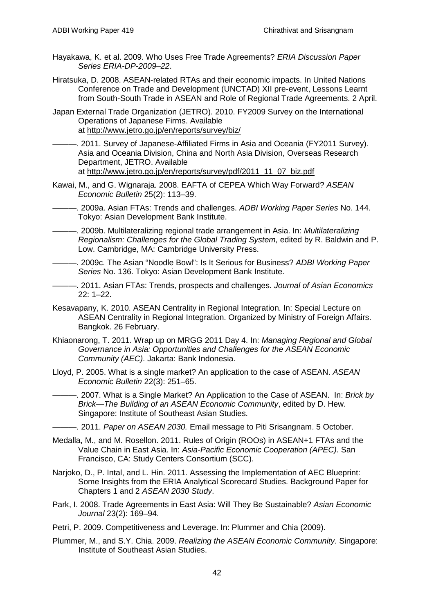- Hayakawa, K. et al. 2009. Who Uses Free Trade Agreements? *ERIA Discussion Paper Series ERIA-DP-2009–22*.
- Hiratsuka, D. 2008. ASEAN-related RTAs and their economic impacts. In [United Nations](http://en.wikipedia.org/wiki/United_Nations_Conference_on_Trade_and_Development)  [Conference on Trade and Development](http://en.wikipedia.org/wiki/United_Nations_Conference_on_Trade_and_Development) (UNCTAD) XII pre-event, Lessons Learnt from South-South Trade in ASEAN and Role of Regional Trade Agreements. 2 April.
- Japan External Trade Organization (JETRO). 2010. FY2009 Survey on the International Operations of Japanese Firms. Available at<http://www.jetro.go.jp/en/reports/survey/biz/>
- ———. 2011. Survey of Japanese-Affiliated Firms in Asia and Oceania (FY2011 Survey). Asia and Oceania Division, China and North Asia Division, Overseas Research Department, JETRO. Available at [http://www.jetro.go.jp/en/reports/survey/pdf/2011\\_11\\_07\\_biz.pdf](http://www.jetro.go.jp/en/reports/survey/pdf/2011_11_07_biz.pdf)
- Kawai, M., and G. Wignaraja. 2008. EAFTA of CEPEA Which Way Forward? *ASEAN Economic Bulletin* 25(2): 113–39.
- ———. 2009a. Asian FTAs: Trends and challenges. *ADBI Working Paper Series* No. 144. Tokyo: Asian Development Bank Institute.
- ———. 2009b. Multilateralizing regional trade arrangement in Asia. In: *Multilateralizing Regionalism: Challenges for the Global Trading System,* edited by R. Baldwin and P. Low. Cambridge, MA: Cambridge University Press.
- ———. 2009c. The Asian "Noodle Bowl": Is It Serious for Business? *ADBI Working Paper Series* No. 136. Tokyo: Asian Development Bank Institute.
- ———. 2011. Asian FTAs: Trends, prospects and challenges. *Journal of Asian Economics* 22: 1–22.
- Kesavapany, K. 2010. ASEAN Centrality in Regional Integration. In: Special Lecture on ASEAN Centrality in Regional Integration. Organized by Ministry of Foreign Affairs. Bangkok. 26 February.
- Khiaonarong, T. 2011. Wrap up on MRGG 2011 Day 4. In: *Managing Regional and Global Governance in Asia: Opportunities and Challenges for the ASEAN Economic Community (AEC)*. Jakarta: Bank Indonesia.
- Lloyd, P. 2005. What is a single market? An application to the case of ASEAN. *ASEAN Economic Bulletin* 22(3): 251–65.
	- ———. 2007. What is a Single Market? An Application to the Case of ASEAN. In: *Brick by Brick—The Building of an ASEAN Economic Community*, edited by D. Hew. Singapore: Institute of Southeast Asian Studies.
- ———. 2011. *Paper on ASEAN 2030.* Email message to Piti Srisangnam. 5 October.
- Medalla, M., and M. Rosellon. 2011. Rules of Origin (ROOs) in ASEAN+1 FTAs and the Value Chain in East Asia. In: *Asia-Pacific Economic Cooperation (APEC).* San Francisco, CA: Study Centers Consortium (SCC).
- Narjoko, D., P. Intal, and L. Hin. 2011. Assessing the Implementation of AEC Blueprint: Some Insights from the ERIA Analytical Scorecard Studies. Background Paper for Chapters 1 and 2 *ASEAN 2030 Study*.
- Park, I. 2008. Trade Agreements in East Asia: Will They Be Sustainable? *Asian Economic Journal* 23(2): 169–94.
- Petri, P. 2009. Competitiveness and Leverage. In: Plummer and Chia (2009).
- Plummer, M., and S.Y. Chia. 2009. *Realizing the ASEAN Economic Community.* Singapore: Institute of Southeast Asian Studies.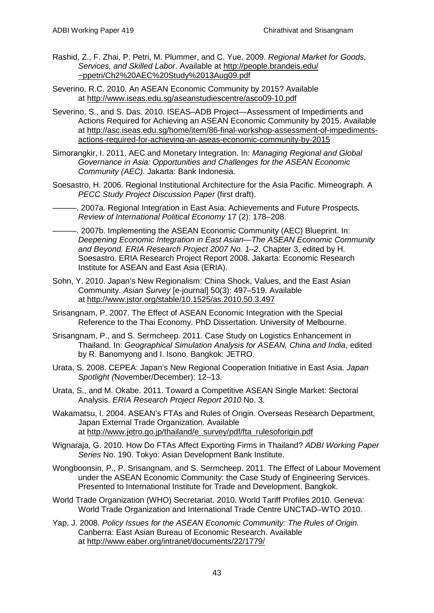- Rashid, Z., F. Zhai, P. Petri, M. Plummer, and C. Yue. 2009. *Regional Market for Goods, Services, and Skilled Labor*. Available at [http://people.brandeis.edu/](http://people.brandeis.edu/~ppetri/Ch2%20AEC%20Study%2013Aug09.pdf) [~ppetri/Ch2%20AEC%20Study%2013Aug09.pdf](http://people.brandeis.edu/~ppetri/Ch2%20AEC%20Study%2013Aug09.pdf)
- Severino, R.C. 2010. An ASEAN Economic Community by 2015? Available at<http://www.iseas.edu.sg/aseanstudiescentre/asco09-10.pdf>
- Severino, S., and S. Das. 2010. ISEAS–ADB Project—Assessment of Impediments and Actions Required for Achieving an ASEAN Economic Community by 2015. Available at [http://asc.iseas.edu.sg/home/item/86-final-workshop-assessment-of-impediments](http://asc.iseas.edu.sg/home/item/86-final-workshop-assessment-of-impediments-actions-required-for-achieving-an-aseas-economic-community-by-2015)[actions-required-for-achieving-an-aseas-economic-community-by-2015](http://asc.iseas.edu.sg/home/item/86-final-workshop-assessment-of-impediments-actions-required-for-achieving-an-aseas-economic-community-by-2015)
- Simorangkir, I. 2011. AEC and Monetary Integration. In: *Managing Regional and Global Governance in Asia: Opportunities and Challenges for the ASEAN Economic Community (AEC).* Jakarta: Bank Indonesia.
- Soesastro, H. 2006. Regional Institutional Architecture for the Asia Pacific. Mimeograph. A *PECC Study Project Discussion Paper* (first draft).
- ———. 2007a. Regional Integration in East Asia: Achievements and Future Prospects. *Review of International Political Economy* 17 (2): 178–208.
- ———. 2007b. Implementing the ASEAN Economic Community (AEC) Blueprint. In: *Deepening Economic Integration in East Asian—The ASEAN Economic Community and Beyond. ERIA Research Project 2007 No. 1–2*. Chapter 3, edited by H. Soesastro. ERIA Research Project Report 2008. Jakarta: Economic Research Institute for ASEAN and East Asia (ERIA).
- Sohn, Y. 2010. Japan's New Regionalism: China Shock, Values, and the East Asian Community. *Asian Survey* [e-journal] 50(3): 497–519. Available at <http://www.jstor.org/stable/10.1525/as.2010.50.3.497>
- Srisangnam, P. 2007. The Effect of ASEAN Economic Integration with the Special Reference to the Thai Economy. PhD Dissertation. University of Melbourne.
- Srisangnam, P., and S. Sermcheep. 2011. Case Study on Logistics Enhancement in Thailand. In: *Geographical Simulation Analysis for ASEAN, China and India*, edited by R. Banomyong and I. Isono. Bangkok: JETRO.
- Urata, S. 2008. CEPEA: Japan's New Regional Cooperation Initiative in East Asia. *Japan Spotlight (*November/December): 12–13.
- Urata, S., and M. Okabe. 2011. Toward a Competitive ASEAN Single Market: Sectoral Analysis. *ERIA Research Project Report 2010* No. 3.
- Wakamatsu, I. 2004. ASEAN's FTAs and Rules of Origin. Overseas Research Department, Japan External Trade Organization. Available at [http://www.jetro.go.jp/thailand/e\\_survey/pdf/fta\\_rulesoforigin.pdf](http://www.jetro.go.jp/thailand/e_survey/pdf/fta_rulesoforigin.pdf)
- Wignaraja, G. 2010. How Do FTAs Affect Exporting Firms in Thailand? *ADBI Working Paper Series* No. 190. Tokyo: Asian Development Bank Institute.
- Wongboonsin, P., P. Srisangnam, and S. Sermcheep. 2011. The Effect of Labour Movement under the ASEAN Economic Community: the Case Study of Engineering Services. Presented to International Institute for Trade and Development. Bangkok.
- World Trade Organization (WHO) Secretariat. 2010. World Tariff Profiles 2010. Geneva: World Trade Organization and International Trade Centre UNCTAD–WTO 2010.
- Yap, J. 2008. *Policy Issues for the ASEAN Economic Community: The Rules of Origin.* Canberra: East Asian Bureau of Economic Research. Available at<http://www.eaber.org/intranet/documents/22/1779/>